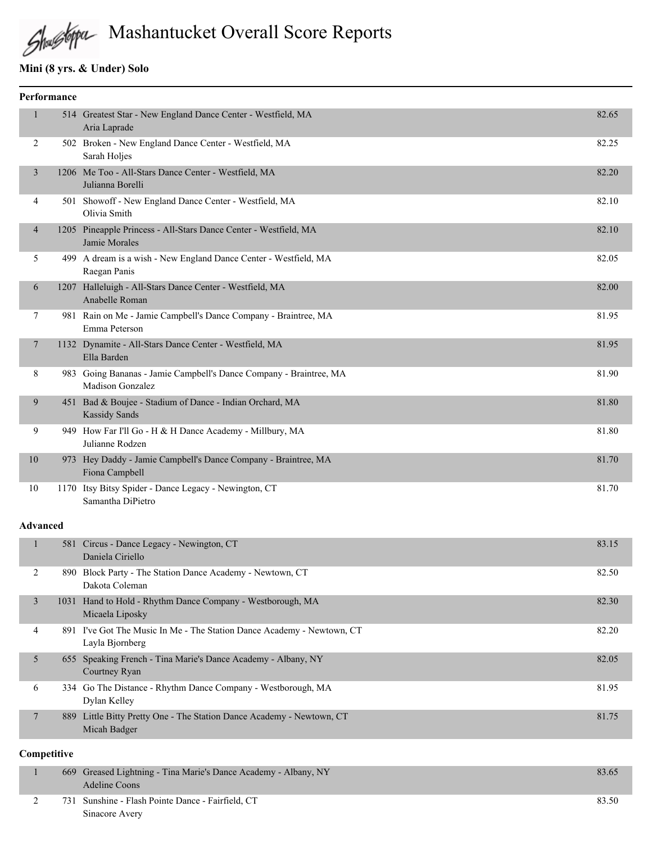# Mashantucket Overall Score Reports

#### **Mini (8 yrs. & Under) Solo**

| Performance    |  |                                                                                               |       |
|----------------|--|-----------------------------------------------------------------------------------------------|-------|
| $\mathbf{1}$   |  | 514 Greatest Star - New England Dance Center - Westfield, MA<br>Aria Laprade                  | 82.65 |
| 2              |  | 502 Broken - New England Dance Center - Westfield, MA<br>Sarah Holjes                         | 82.25 |
| 3              |  | 1206 Me Too - All-Stars Dance Center - Westfield, MA<br>Julianna Borelli                      | 82.20 |
| 4              |  | 501 Showoff - New England Dance Center - Westfield, MA<br>Olivia Smith                        | 82.10 |
| $\overline{4}$ |  | 1205 Pineapple Princess - All-Stars Dance Center - Westfield, MA<br>Jamie Morales             | 82.10 |
| 5              |  | 499 A dream is a wish - New England Dance Center - Westfield, MA<br>Raegan Panis              | 82.05 |
| 6              |  | 1207 Halleluigh - All-Stars Dance Center - Westfield, MA<br>Anabelle Roman                    | 82.00 |
| $\tau$         |  | 981 Rain on Me - Jamie Campbell's Dance Company - Braintree, MA<br>Emma Peterson              | 81.95 |
| $\tau$         |  | 1132 Dynamite - All-Stars Dance Center - Westfield, MA<br>Ella Barden                         | 81.95 |
| 8              |  | 983 Going Bananas - Jamie Campbell's Dance Company - Braintree, MA<br><b>Madison Gonzalez</b> | 81.90 |
| 9              |  | 451 Bad & Boujee - Stadium of Dance - Indian Orchard, MA<br><b>Kassidy Sands</b>              | 81.80 |
| 9              |  | 949 How Far I'll Go - H & H Dance Academy - Millbury, MA<br>Julianne Rodzen                   | 81.80 |
| 10             |  | 973 Hey Daddy - Jamie Campbell's Dance Company - Braintree, MA<br>Fiona Campbell              | 81.70 |
| 10             |  | 1170 Itsy Bitsy Spider - Dance Legacy - Newington, CT<br>Samantha DiPietro                    | 81.70 |

#### **Advanced**

|   |      | 581 Circus - Dance Legacy - Newington, CT<br>Daniela Ciriello                             | 83.15 |
|---|------|-------------------------------------------------------------------------------------------|-------|
|   |      | 890 Block Party - The Station Dance Academy - Newtown, CT<br>Dakota Coleman               | 82.50 |
| 3 | 1031 | Hand to Hold - Rhythm Dance Company - Westborough, MA<br>Micaela Liposky                  | 82.30 |
| 4 |      | 891 I've Got The Music In Me - The Station Dance Academy - Newtown, CT<br>Layla Bjornberg | 82.20 |
| 5 |      | 655 Speaking French - Tina Marie's Dance Academy - Albany, NY<br>Courtney Ryan            | 82.05 |
| 6 |      | 334 Go The Distance - Rhythm Dance Company - Westborough, MA<br>Dylan Kelley              | 81.95 |
|   | 889  | Little Bitty Pretty One - The Station Dance Academy - Newtown, CT<br>Micah Badger         | 81.75 |

#### **Competitive**

|  | 669 Greased Lightning - Tina Marie's Dance Academy - Albany, NY | 83.65  |
|--|-----------------------------------------------------------------|--------|
|  | Adeline Coons                                                   |        |
|  | 731 Sunshine - Flash Pointe Dance - Fairfield, CT               | -83.50 |
|  | Sinacore Avery                                                  |        |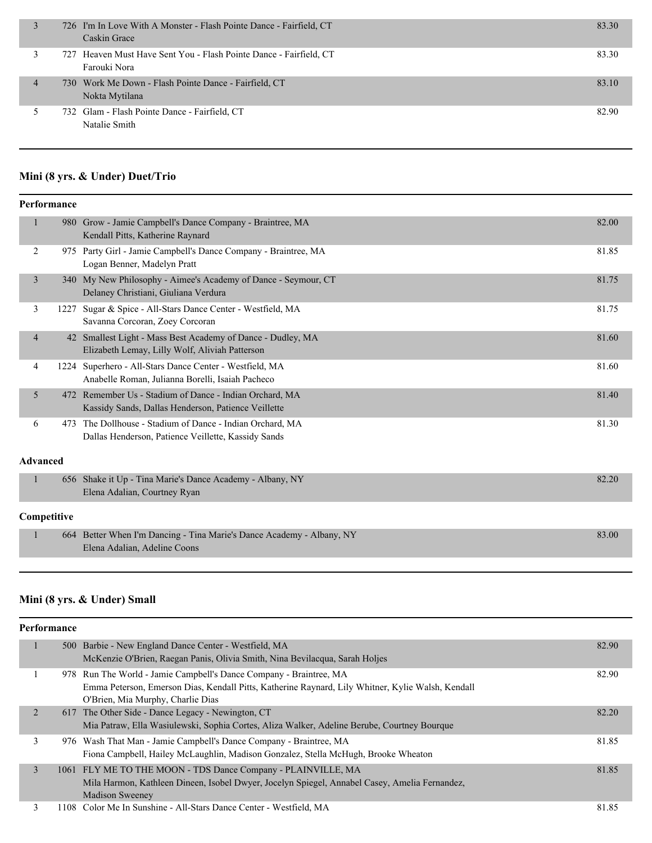|                | 726 I'm In Love With A Monster - Flash Pointe Dance - Fairfield, CT<br>Caskin Grace | 83.30 |
|----------------|-------------------------------------------------------------------------------------|-------|
|                | 727 Heaven Must Have Sent You - Flash Pointe Dance - Fairfield, CT<br>Farouki Nora  | 83.30 |
| $\overline{4}$ | 730 Work Me Down - Flash Pointe Dance - Fairfield, CT<br>Nokta Mytilana             | 83.10 |
|                | 732 Glam - Flash Pointe Dance - Fairfield, CT<br>Natalie Smith                      | 82.90 |

#### **Mini (8 yrs. & Under) Duet/Trio**

|                | Performance     |                                                                                                                |       |  |
|----------------|-----------------|----------------------------------------------------------------------------------------------------------------|-------|--|
| $\mathbf{1}$   |                 | 980 Grow - Jamie Campbell's Dance Company - Braintree, MA<br>Kendall Pitts, Katherine Raynard                  | 82.00 |  |
| 2              |                 | 975 Party Girl - Jamie Campbell's Dance Company - Braintree, MA<br>Logan Benner, Madelyn Pratt                 | 81.85 |  |
| $\overline{3}$ |                 | 340 My New Philosophy - Aimee's Academy of Dance - Seymour, CT<br>Delaney Christiani, Giuliana Verdura         | 81.75 |  |
| 3              | 1227            | Sugar & Spice - All-Stars Dance Center - Westfield, MA<br>Savanna Corcoran, Zoey Corcoran                      | 81.75 |  |
| $\overline{4}$ |                 | 42 Smallest Light - Mass Best Academy of Dance - Dudley, MA<br>Elizabeth Lemay, Lilly Wolf, Aliviah Patterson  | 81.60 |  |
| 4              |                 | 1224 Superhero - All-Stars Dance Center - Westfield, MA<br>Anabelle Roman, Julianna Borelli, Isaiah Pacheco    | 81.60 |  |
| 5              |                 | 472 Remember Us - Stadium of Dance - Indian Orchard, MA<br>Kassidy Sands, Dallas Henderson, Patience Veillette | 81.40 |  |
| 6              | 473             | The Dollhouse - Stadium of Dance - Indian Orchard, MA<br>Dallas Henderson, Patience Veillette, Kassidy Sands   | 81.30 |  |
|                | <b>Advanced</b> |                                                                                                                |       |  |
| $\mathbf{1}$   |                 | 656 Shake it Up - Tina Marie's Dance Academy - Albany, NY<br>Elena Adalian, Courtney Ryan                      | 82.20 |  |
|                | Competitive     |                                                                                                                |       |  |
| $\mathbf{1}$   |                 | 664 Better When I'm Dancing - Tina Marie's Dance Academy - Albany, NY<br>Elena Adalian, Adeline Coons          | 83.00 |  |
|                |                 |                                                                                                                |       |  |

# **Mini (8 yrs. & Under) Small**

|                | <b>Performance</b> |                                                                                                                                                                                                              |       |  |  |  |
|----------------|--------------------|--------------------------------------------------------------------------------------------------------------------------------------------------------------------------------------------------------------|-------|--|--|--|
|                |                    | 500 Barbie - New England Dance Center - Westfield, MA<br>McKenzie O'Brien, Raegan Panis, Olivia Smith, Nina Bevilacqua, Sarah Holjes                                                                         | 82.90 |  |  |  |
|                |                    | 978 Run The World - Jamie Campbell's Dance Company - Braintree, MA<br>Emma Peterson, Emerson Dias, Kendall Pitts, Katherine Raynard, Lily Whitner, Kylie Walsh, Kendall<br>O'Brien, Mia Murphy, Charlie Dias | 82.90 |  |  |  |
| 2              |                    | 617 The Other Side - Dance Legacy - Newington, CT<br>Mia Patraw, Ella Wasiulewski, Sophia Cortes, Aliza Walker, Adeline Berube, Courtney Bourque                                                             | 82.20 |  |  |  |
| 3              |                    | 976 Wash That Man - Jamie Campbell's Dance Company - Braintree, MA<br>Fiona Campbell, Hailey McLaughlin, Madison Gonzalez, Stella McHugh, Brooke Wheaton                                                     | 81.85 |  |  |  |
| $\mathfrak{Z}$ |                    | 1061 FLY ME TO THE MOON - TDS Dance Company - PLAINVILLE, MA<br>Mila Harmon, Kathleen Dineen, Isobel Dwyer, Jocelyn Spiegel, Annabel Casey, Amelia Fernandez,<br><b>Madison Sweeney</b>                      | 81.85 |  |  |  |
| 3              |                    | 1108 Color Me In Sunshine - All-Stars Dance Center - Westfield, MA                                                                                                                                           | 81.85 |  |  |  |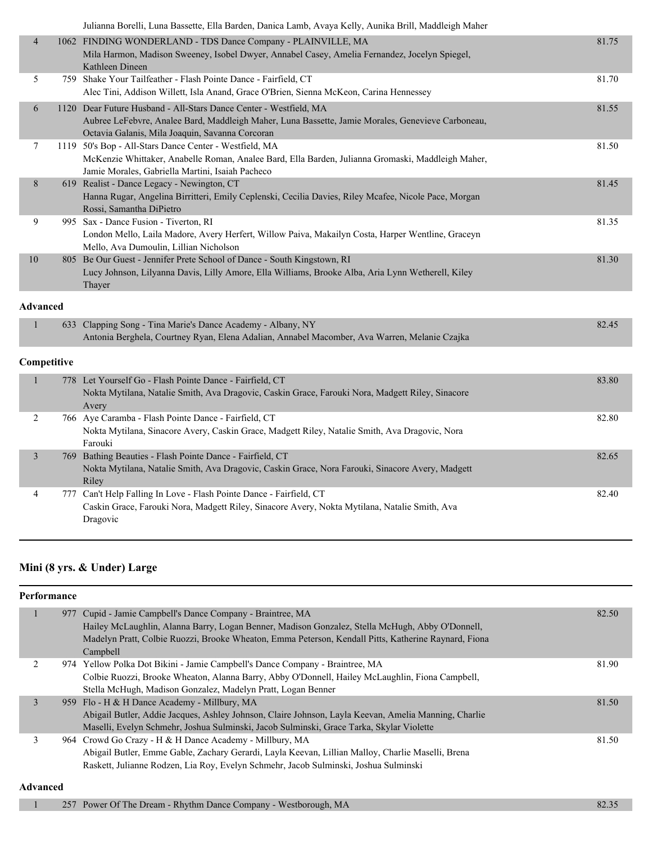|                 | Julianna Borelli, Luna Bassette, Ella Barden, Danica Lamb, Avaya Kelly, Aunika Brill, Maddleigh Maher                                                                                                                     |       |
|-----------------|---------------------------------------------------------------------------------------------------------------------------------------------------------------------------------------------------------------------------|-------|
| 4               | 1062 FINDING WONDERLAND - TDS Dance Company - PLAINVILLE, MA<br>Mila Harmon, Madison Sweeney, Isobel Dwyer, Annabel Casey, Amelia Fernandez, Jocelyn Spiegel,<br>Kathleen Dineen                                          | 81.75 |
| 5               | 759 Shake Your Tailfeather - Flash Pointe Dance - Fairfield, CT<br>Alec Tini, Addison Willett, Isla Anand, Grace O'Brien, Sienna McKeon, Carina Hennessey                                                                 | 81.70 |
| 6               | 1120 Dear Future Husband - All-Stars Dance Center - Westfield, MA<br>Aubree LeFebvre, Analee Bard, Maddleigh Maher, Luna Bassette, Jamie Morales, Genevieve Carboneau,<br>Octavia Galanis, Mila Joaquin, Savanna Corcoran | 81.55 |
| 7               | 1119 50's Bop - All-Stars Dance Center - Westfield, MA<br>McKenzie Whittaker, Anabelle Roman, Analee Bard, Ella Barden, Julianna Gromaski, Maddleigh Maher,<br>Jamie Morales, Gabriella Martini, Isaiah Pacheco           | 81.50 |
| 8               | 619 Realist - Dance Legacy - Newington, CT<br>Hanna Rugar, Angelina Birritteri, Emily Ceplenski, Cecilia Davies, Riley Mcafee, Nicole Pace, Morgan<br>Rossi, Samantha DiPietro                                            | 81.45 |
| 9               | 995 Sax - Dance Fusion - Tiverton, RI<br>London Mello, Laila Madore, Avery Herfert, Willow Paiva, Makailyn Costa, Harper Wentline, Graceyn<br>Mello, Ava Dumoulin, Lillian Nicholson                                      | 81.35 |
| $10\,$          | 805 Be Our Guest - Jennifer Prete School of Dance - South Kingstown, RI<br>Lucy Johnson, Lilyanna Davis, Lilly Amore, Ella Williams, Brooke Alba, Aria Lynn Wetherell, Kiley<br>Thayer                                    | 81.30 |
| <b>Advanced</b> |                                                                                                                                                                                                                           |       |
| 1               | 633 Clapping Song - Tina Marie's Dance Academy - Albany, NY<br>Antonia Berghela, Courtney Ryan, Elena Adalian, Annabel Macomber, Ava Warren, Melanie Czajka                                                               | 82.45 |
| Competitive     |                                                                                                                                                                                                                           |       |
| 1               | 778 Let Yourself Go - Flash Pointe Dance - Fairfield, CT<br>Nokta Mytilana, Natalie Smith, Ava Dragovic, Caskin Grace, Farouki Nora, Madgett Riley, Sinacore<br>Avery                                                     | 83.80 |
| 2               | 766 Aye Caramba - Flash Pointe Dance - Fairfield, CT<br>Nokta Mytilana, Sinacore Avery, Caskin Grace, Madgett Riley, Natalie Smith, Ava Dragovic, Nora<br>Farouki                                                         | 82.80 |
| $\overline{3}$  | 769 Bathing Beauties - Flash Pointe Dance - Fairfield, CT<br>Nokta Mytilana, Natalie Smith, Ava Dragovic, Caskin Grace, Nora Farouki, Sinacore Avery, Madgett<br>Riley                                                    | 82.65 |
| 4               | 777 Can't Help Falling In Love - Flash Pointe Dance - Fairfield, CT<br>Caskin Grace, Farouki Nora, Madgett Riley, Sinacore Avery, Nokta Mytilana, Natalie Smith, Ava<br>Dragovic                                          | 82.40 |

#### **Mini (8 yrs. & Under) Large**

| Performance |   |  |                                                                                                      |       |
|-------------|---|--|------------------------------------------------------------------------------------------------------|-------|
|             |   |  | 977 Cupid - Jamie Campbell's Dance Company - Braintree, MA                                           | 82.50 |
|             |   |  | Hailey McLaughlin, Alanna Barry, Logan Benner, Madison Gonzalez, Stella McHugh, Abby O'Donnell,      |       |
|             |   |  | Madelyn Pratt, Colbie Ruozzi, Brooke Wheaton, Emma Peterson, Kendall Pitts, Katherine Raynard, Fiona |       |
|             |   |  | Campbell                                                                                             |       |
|             |   |  | 974 Yellow Polka Dot Bikini - Jamie Campbell's Dance Company - Braintree, MA                         | 81.90 |
|             |   |  | Colbie Ruozzi, Brooke Wheaton, Alanna Barry, Abby O'Donnell, Hailey McLaughlin, Fiona Campbell,      |       |
|             |   |  | Stella McHugh, Madison Gonzalez, Madelyn Pratt, Logan Benner                                         |       |
|             | 3 |  | 959 Flo - H & H Dance Academy - Millbury, MA                                                         | 81.50 |
|             |   |  | Abigail Butler, Addie Jacques, Ashley Johnson, Claire Johnson, Layla Keevan, Amelia Manning, Charlie |       |
|             |   |  | Maselli, Evelyn Schmehr, Joshua Sulminski, Jacob Sulminski, Grace Tarka, Skylar Violette             |       |
|             |   |  | 964 Crowd Go Crazy - H & H Dance Academy - Millbury, MA                                              | 81.50 |
|             |   |  | Abigail Butler, Emme Gable, Zachary Gerardi, Layla Keevan, Lillian Malloy, Charlie Maselli, Brena    |       |
|             |   |  | Raskett, Julianne Rodzen, Lia Roy, Evelyn Schmehr, Jacob Sulminski, Joshua Sulminski                 |       |
|             |   |  |                                                                                                      |       |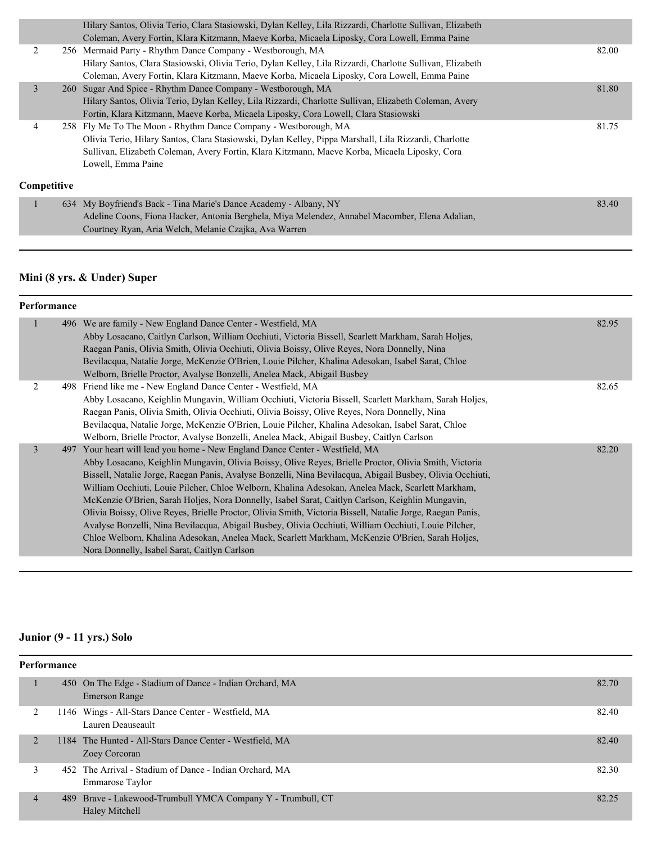|             | Hilary Santos, Olivia Terio, Clara Stasiowski, Dylan Kelley, Lila Rizzardi, Charlotte Sullivan, Elizabeth<br>Coleman, Avery Fortin, Klara Kitzmann, Maeve Korba, Micaela Liposky, Cora Lowell, Emma Paine                                                                                       |       |
|-------------|-------------------------------------------------------------------------------------------------------------------------------------------------------------------------------------------------------------------------------------------------------------------------------------------------|-------|
|             | 256 Mermaid Party - Rhythm Dance Company - Westborough, MA<br>Hilary Santos, Clara Stasiowski, Olivia Terio, Dylan Kelley, Lila Rizzardi, Charlotte Sullivan, Elizabeth<br>Coleman, Avery Fortin, Klara Kitzmann, Maeve Korba, Micaela Liposky, Cora Lowell, Emma Paine                         | 82.00 |
| 3           | 260 Sugar And Spice - Rhythm Dance Company - Westborough, MA<br>Hilary Santos, Olivia Terio, Dylan Kelley, Lila Rizzardi, Charlotte Sullivan, Elizabeth Coleman, Avery<br>Fortin, Klara Kitzmann, Maeve Korba, Micaela Liposky, Cora Lowell, Clara Stasiowski                                   | 81.80 |
|             | 258 Fly Me To The Moon - Rhythm Dance Company - Westborough, MA<br>Olivia Terio, Hilary Santos, Clara Stasiowski, Dylan Kelley, Pippa Marshall, Lila Rizzardi, Charlotte<br>Sullivan, Elizabeth Coleman, Avery Fortin, Klara Kitzmann, Maeve Korba, Micaela Liposky, Cora<br>Lowell, Emma Paine | 81.75 |
| Competitive |                                                                                                                                                                                                                                                                                                 |       |

|  | 634 My Boyfriend's Back - Tina Marie's Dance Academy - Albany, NY                              | 83.40 |
|--|------------------------------------------------------------------------------------------------|-------|
|  | Adeline Coons, Fiona Hacker, Antonia Berghela, Miya Melendez, Annabel Macomber, Elena Adalian, |       |
|  | Courtney Ryan, Aria Welch, Melanie Czajka, Ava Warren                                          |       |

# **Mini (8 yrs. & Under) Super**

# **Performance**

|                | 496 We are family - New England Dance Center - Westfield, MA                                              | 82.95 |
|----------------|-----------------------------------------------------------------------------------------------------------|-------|
|                | Abby Losacano, Caitlyn Carlson, William Occhiuti, Victoria Bissell, Scarlett Markham, Sarah Holjes,       |       |
|                | Raegan Panis, Olivia Smith, Olivia Occhiuti, Olivia Boissy, Olive Reyes, Nora Donnelly, Nina              |       |
|                | Bevilacqua, Natalie Jorge, McKenzie O'Brien, Louie Pilcher, Khalina Adesokan, Isabel Sarat, Chloe         |       |
|                | Welborn, Brielle Proctor, Avalyse Bonzelli, Anelea Mack, Abigail Busbey                                   |       |
| $\mathfrak{D}$ | 498 Friend like me - New England Dance Center - Westfield, MA                                             | 82.65 |
|                | Abby Losacano, Keighlin Mungavin, William Occhiuti, Victoria Bissell, Scarlett Markham, Sarah Holjes,     |       |
|                | Raegan Panis, Olivia Smith, Olivia Occhiuti, Olivia Boissy, Olive Reyes, Nora Donnelly, Nina              |       |
|                | Bevilacqua, Natalie Jorge, McKenzie O'Brien, Louie Pilcher, Khalina Adesokan, Isabel Sarat, Chloe         |       |
|                | Welborn, Brielle Proctor, Avalyse Bonzelli, Anelea Mack, Abigail Busbey, Caitlyn Carlson                  |       |
| 3              | 497 Your heart will lead you home - New England Dance Center - Westfield, MA                              | 82.20 |
|                | Abby Losacano, Keighlin Mungavin, Olivia Boissy, Olive Reyes, Brielle Proctor, Olivia Smith, Victoria     |       |
|                | Bissell, Natalie Jorge, Raegan Panis, Avalyse Bonzelli, Nina Bevilacqua, Abigail Busbey, Olivia Occhiuti, |       |
|                | William Occhiuti, Louie Pilcher, Chloe Welborn, Khalina Adesokan, Anelea Mack, Scarlett Markham,          |       |
|                | McKenzie O'Brien, Sarah Holjes, Nora Donnelly, Isabel Sarat, Caitlyn Carlson, Keighlin Mungavin,          |       |
|                | Olivia Boissy, Olive Reyes, Brielle Proctor, Olivia Smith, Victoria Bissell, Natalie Jorge, Raegan Panis, |       |
|                | Avalyse Bonzelli, Nina Bevilacqua, Abigail Busbey, Olivia Occhiuti, William Occhiuti, Louie Pilcher,      |       |
|                | Chloe Welborn, Khalina Adesokan, Anelea Mack, Scarlett Markham, McKenzie O'Brien, Sarah Holjes,           |       |
|                | Nora Donnelly, Isabel Sarat, Caitlyn Carlson                                                              |       |

#### **Junior (9 - 11 yrs.) Solo**

| <b>Performance</b> |  |                                                                               |       |  |
|--------------------|--|-------------------------------------------------------------------------------|-------|--|
|                    |  | 450 On The Edge - Stadium of Dance - Indian Orchard, MA<br>Emerson Range      | 82.70 |  |
| 2                  |  | 1146 Wings - All-Stars Dance Center - Westfield, MA<br>Lauren Deauseault      | 82.40 |  |
| $\overline{2}$     |  | 1184 The Hunted - All-Stars Dance Center - Westfield, MA<br>Zoey Corcoran     | 82.40 |  |
| 3                  |  | 452 The Arrival - Stadium of Dance - Indian Orchard, MA<br>Emmarose Taylor    | 82.30 |  |
| $\overline{4}$     |  | 489 Brave - Lakewood-Trumbull YMCA Company Y - Trumbull, CT<br>Haley Mitchell | 82.25 |  |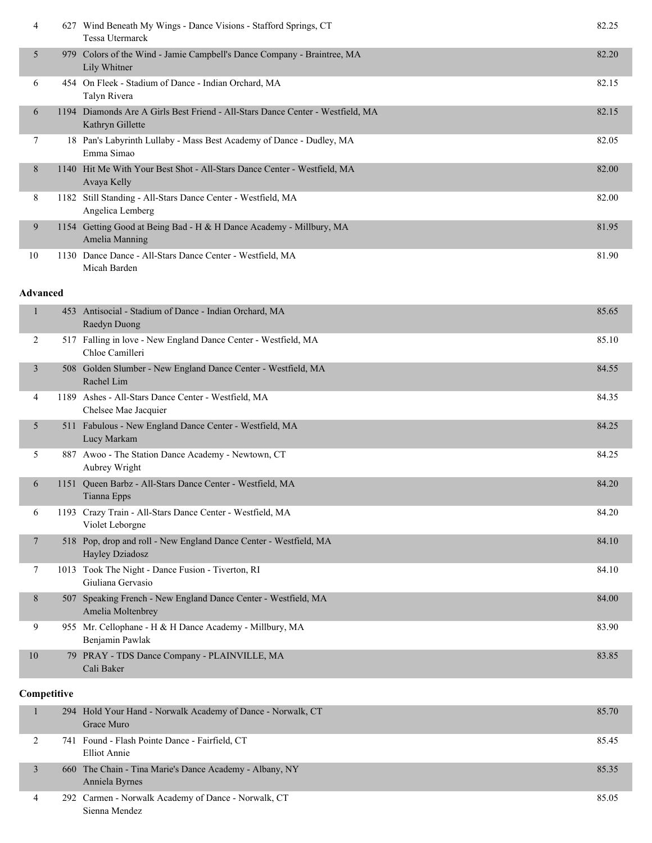| 4               |     | 627 Wind Beneath My Wings - Dance Visions - Stafford Springs, CT<br><b>Tessa Utermarck</b>         | 82.25 |
|-----------------|-----|----------------------------------------------------------------------------------------------------|-------|
| 5               | 979 | Colors of the Wind - Jamie Campbell's Dance Company - Braintree, MA<br>Lily Whitner                | 82.20 |
| 6               |     | 454 On Fleek - Stadium of Dance - Indian Orchard, MA<br>Talyn Rivera                               | 82.15 |
| 6               |     | 1194 Diamonds Are A Girls Best Friend - All-Stars Dance Center - Westfield, MA<br>Kathryn Gillette | 82.15 |
| 7               |     | 18 Pan's Labyrinth Lullaby - Mass Best Academy of Dance - Dudley, MA<br>Emma Simao                 | 82.05 |
| 8               |     | 1140 Hit Me With Your Best Shot - All-Stars Dance Center - Westfield, MA<br>Avaya Kelly            | 82.00 |
| 8               |     | 1182 Still Standing - All-Stars Dance Center - Westfield, MA<br>Angelica Lemberg                   | 82.00 |
| 9               |     | 1154 Getting Good at Being Bad - H & H Dance Academy - Millbury, MA<br>Amelia Manning              | 81.95 |
| 10              |     | 1130 Dance Dance - All-Stars Dance Center - Westfield, MA<br>Micah Barden                          | 81.90 |
| <b>Advanced</b> |     |                                                                                                    |       |
| 1               |     | 453 Antisocial - Stadium of Dance - Indian Orchard, MA<br>Raedyn Duong                             | 85.65 |
| 2               |     | 517 Falling in love - New England Dance Center - Westfield, MA<br>Chloe Camilleri                  | 85.10 |
| 3               |     | 508 Golden Slumber - New England Dance Center - Westfield, MA<br>Rachel Lim                        | 84.55 |
| 4               |     | 1189 Ashes - All-Stars Dance Center - Westfield, MA<br>Chelsee Mae Jacquier                        | 84.35 |
| 5               |     | 511 Fabulous - New England Dance Center - Westfield, MA<br>Lucy Markam                             | 84.25 |
| 5               |     | 887 Awoo - The Station Dance Academy - Newtown, CT                                                 | 84.25 |

|    | Aubrey Wright                                                                        |       |
|----|--------------------------------------------------------------------------------------|-------|
| 6  | 1151 Oueen Barbz - All-Stars Dance Center - Westfield, MA<br>Tianna Epps             | 84.20 |
| 6  | 1193 Crazy Train - All-Stars Dance Center - Westfield, MA<br>Violet Leborgne         | 84.20 |
| 7  | 518 Pop, drop and roll - New England Dance Center - Westfield, MA<br>Hayley Dziadosz | 84.10 |
|    | 1013 Took The Night - Dance Fusion - Tiverton, RI<br>Giuliana Gervasio               | 84.10 |
| 8  | 507 Speaking French - New England Dance Center - Westfield, MA<br>Amelia Moltenbrey  | 84.00 |
| 9  | 955 Mr. Cellophane - H & H Dance Academy - Millbury, MA<br>Benjamin Pawlak           | 83.90 |
| 10 | 79 PRAY - TDS Dance Company - PLAINVILLE, MA<br>Cali Baker                           | 83.85 |

#### **Competitive**

|  | 294 Hold Your Hand - Norwalk Academy of Dance - Norwalk, CT<br>Grace Muro | 85.70 |
|--|---------------------------------------------------------------------------|-------|
|  | 741 Found - Flash Pointe Dance - Fairfield, CT<br>Elliot Annie            | 85.45 |
|  | 660 The Chain - Tina Marie's Dance Academy - Albany, NY<br>Anniela Byrnes | 85.35 |
|  | 292 Carmen - Norwalk Academy of Dance - Norwalk, CT<br>Sienna Mendez      | 85.05 |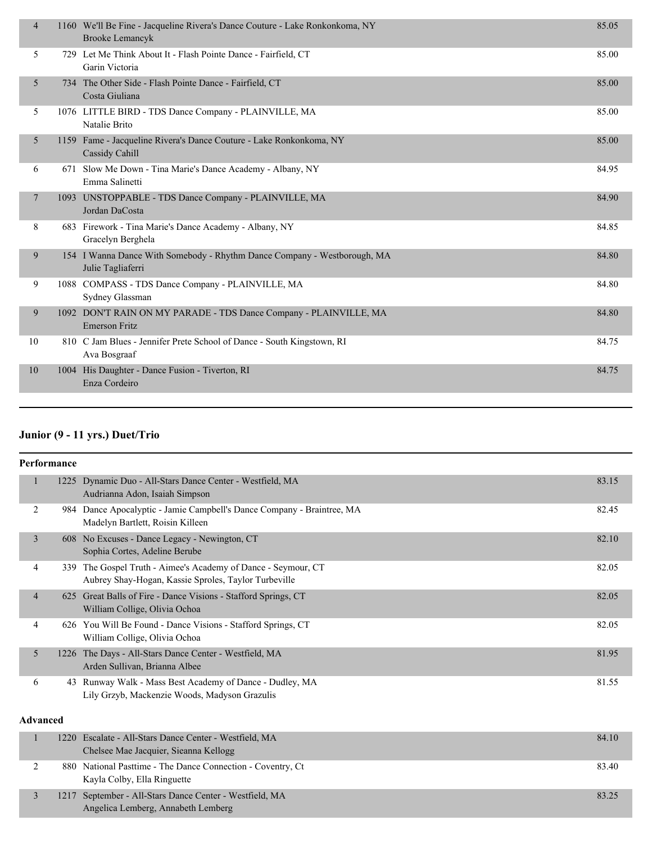| $\overline{4}$ | 1160 We'll Be Fine - Jacqueline Rivera's Dance Couture - Lake Ronkonkoma, NY<br><b>Brooke Lemancyk</b> | 85.05 |
|----------------|--------------------------------------------------------------------------------------------------------|-------|
| 5              | 729 Let Me Think About It - Flash Pointe Dance - Fairfield, CT<br>Garin Victoria                       | 85.00 |
| 5              | 734 The Other Side - Flash Pointe Dance - Fairfield, CT<br>Costa Giuliana                              | 85.00 |
| 5              | 1076 LITTLE BIRD - TDS Dance Company - PLAINVILLE, MA<br>Natalie Brito                                 | 85.00 |
| 5              | 1159 Fame - Jacqueline Rivera's Dance Couture - Lake Ronkonkoma, NY<br>Cassidy Cahill                  | 85.00 |
| 6              | 671 Slow Me Down - Tina Marie's Dance Academy - Albany, NY<br>Emma Salinetti                           | 84.95 |
| $\overline{7}$ | 1093 UNSTOPPABLE - TDS Dance Company - PLAINVILLE, MA<br>Jordan DaCosta                                | 84.90 |
| 8              | 683 Firework - Tina Marie's Dance Academy - Albany, NY<br>Gracelyn Berghela                            | 84.85 |
| 9              | 154 I Wanna Dance With Somebody - Rhythm Dance Company - Westborough, MA<br>Julie Tagliaferri          | 84.80 |
| 9              | 1088 COMPASS - TDS Dance Company - PLAINVILLE, MA<br>Sydney Glassman                                   | 84.80 |
| 9              | 1092 DON'T RAIN ON MY PARADE - TDS Dance Company - PLAINVILLE, MA<br><b>Emerson Fritz</b>              | 84.80 |
| 10             | 810 C Jam Blues - Jennifer Prete School of Dance - South Kingstown, RI<br>Ava Bosgraaf                 | 84.75 |
| 10             | 1004 His Daughter - Dance Fusion - Tiverton, RI<br>Enza Cordeiro                                       | 84.75 |
|                |                                                                                                        |       |

#### **Junior (9 - 11 yrs.) Duet/Trio**

|                 | Performance |                                                                                                                       |       |
|-----------------|-------------|-----------------------------------------------------------------------------------------------------------------------|-------|
| $\mathbf{1}$    |             | 1225 Dynamic Duo - All-Stars Dance Center - Westfield, MA<br>Audrianna Adon, Isaiah Simpson                           | 83.15 |
| 2               |             | 984 Dance Apocalyptic - Jamie Campbell's Dance Company - Braintree, MA<br>Madelyn Bartlett, Roisin Killeen            | 82.45 |
| $\overline{3}$  |             | 608 No Excuses - Dance Legacy - Newington, CT<br>Sophia Cortes, Adeline Berube                                        | 82.10 |
| 4               |             | 339 The Gospel Truth - Aimee's Academy of Dance - Seymour, CT<br>Aubrey Shay-Hogan, Kassie Sproles, Taylor Turbeville | 82.05 |
| $\overline{4}$  |             | 625 Great Balls of Fire - Dance Visions - Stafford Springs, CT<br>William Collige, Olivia Ochoa                       | 82.05 |
| 4               |             | 626 You Will Be Found - Dance Visions - Stafford Springs, CT<br>William Collige, Olivia Ochoa                         | 82.05 |
| 5               |             | 1226 The Days - All-Stars Dance Center - Westfield, MA<br>Arden Sullivan, Brianna Albee                               | 81.95 |
| 6               |             | 43 Runway Walk - Mass Best Academy of Dance - Dudley, MA<br>Lily Grzyb, Mackenzie Woods, Madyson Grazulis             | 81.55 |
| <b>Advanced</b> |             |                                                                                                                       |       |
| 1               |             | 1220 Escalate - All-Stars Dance Center - Westfield, MA<br>Chelsee Mae Jacquier, Sieanna Kellogg                       | 84.10 |
| $\overline{2}$  |             | 880 National Pasttime - The Dance Connection - Coventry, Ct<br>Kayla Colby, Ella Ringuette                            | 83.40 |
| 3               | 1217        | September - All-Stars Dance Center - Westfield, MA<br>Angelica Lemberg, Annabeth Lemberg                              | 83.25 |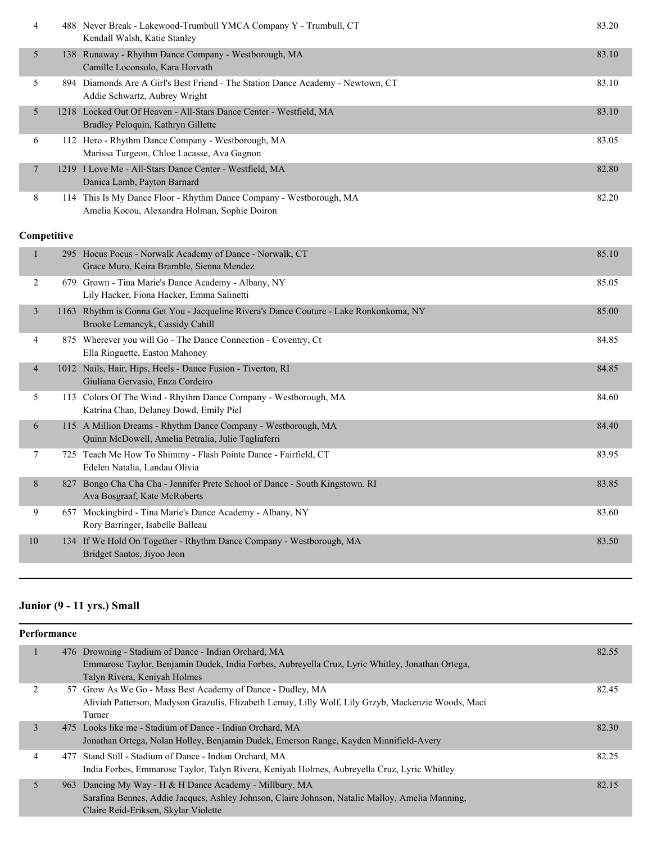| 4  | 488 Never Break - Lakewood-Trumbull YMCA Company Y - Trumbull, CT<br>Kendall Walsh, Katie Stanley                    | 83.20 |
|----|----------------------------------------------------------------------------------------------------------------------|-------|
| 5  | 138 Runaway - Rhythm Dance Company - Westborough, MA<br>Camille Loconsolo, Kara Horvath                              | 83.10 |
| 5. | 894 Diamonds Are A Girl's Best Friend - The Station Dance Academy - Newtown, CT<br>Addie Schwartz, Aubrey Wright     | 83.10 |
| 5  | 1218 Locked Out Of Heaven - All-Stars Dance Center - Westfield, MA<br>Bradley Peloquin, Kathryn Gillette             | 83.10 |
| 6  | 112 Hero - Rhythm Dance Company - Westborough, MA<br>Marissa Turgeon, Chloe Lacasse, Ava Gagnon                      | 83.05 |
| 7  | 1219 I Love Me - All-Stars Dance Center - Westfield, MA<br>Danica Lamb, Payton Barnard                               | 82.80 |
| 8  | 114 This Is My Dance Floor - Rhythm Dance Company - Westborough, MA<br>Amelia Kocou, Alexandra Holman, Sophie Doiron | 82.20 |

#### **Competitive**

|                | 295 Hocus Pocus - Norwalk Academy of Dance - Norwalk, CT<br>Grace Muro, Keira Bramble, Sienna Mendez                 | 85.10 |
|----------------|----------------------------------------------------------------------------------------------------------------------|-------|
| 2<br>679       | Grown - Tina Marie's Dance Academy - Albany, NY<br>Lily Hacker, Fiona Hacker, Emma Salinetti                         | 85.05 |
| 3<br>1163      | Rhythm is Gonna Get You - Jacqueline Rivera's Dance Couture - Lake Ronkonkoma, NY<br>Brooke Lemancyk, Cassidy Cahill | 85.00 |
| 4              | 875 Wherever you will Go - The Dance Connection - Coventry, Ct<br>Ella Ringuette, Easton Mahoney                     | 84.85 |
| $\overline{4}$ | 1012 Nails, Hair, Hips, Heels - Dance Fusion - Tiverton, RI<br>Giuliana Gervasio, Enza Cordeiro                      | 84.85 |
| 5<br>113       | Colors Of The Wind - Rhythm Dance Company - Westborough, MA<br>Katrina Chan, Delaney Dowd, Emily Piel                | 84.60 |
| 6<br>115       | A Million Dreams - Rhythm Dance Company - Westborough, MA<br>Quinn McDowell, Amelia Petralia, Julie Tagliaferri      | 84.40 |
| 7              | 725 Teach Me How To Shimmy - Flash Pointe Dance - Fairfield, CT<br>Edelen Natalia, Landau Olivia                     | 83.95 |
| 8<br>827       | Bongo Cha Cha Cha - Jennifer Prete School of Dance - South Kingstown, RI<br>Ava Bosgraaf, Kate McRoberts             | 83.85 |
| 9<br>657       | Mockingbird - Tina Marie's Dance Academy - Albany, NY<br>Rory Barringer, Isabelle Balleau                            | 83.60 |
| 10             | 134 If We Hold On Together - Rhythm Dance Company - Westborough, MA<br>Bridget Santos, Jiyoo Jeon                    | 83.50 |
|                |                                                                                                                      |       |

# **Junior (9 - 11 yrs.) Small**

| <b>Performance</b> |                                                                                                                                                         |       |
|--------------------|---------------------------------------------------------------------------------------------------------------------------------------------------------|-------|
|                    | 476 Drowning - Stadium of Dance - Indian Orchard, MA<br>Emmarose Taylor, Benjamin Dudek, India Forbes, Aubreyella Cruz, Lyric Whitley, Jonathan Ortega, | 82.55 |
|                    | Talyn Rivera, Keniyah Holmes                                                                                                                            |       |
| 2                  | 57 Grow As We Go - Mass Best Academy of Dance - Dudley, MA                                                                                              | 82.45 |
|                    | Aliviah Patterson, Madyson Grazulis, Elizabeth Lemay, Lilly Wolf, Lily Grzyb, Mackenzie Woods, Maci<br>Turner                                           |       |
| 3                  | 475 Looks like me - Stadium of Dance - Indian Orchard, MA                                                                                               | 82.30 |
|                    | Jonathan Ortega, Nolan Holley, Benjamin Dudek, Emerson Range, Kayden Minnifield-Avery                                                                   |       |
| 4                  | 477 Stand Still - Stadium of Dance - Indian Orchard, MA                                                                                                 | 82.25 |
|                    | India Forbes, Emmarose Taylor, Talyn Rivera, Keniyah Holmes, Aubreyella Cruz, Lyric Whitley                                                             |       |
| 5                  | 963 Dancing My Way - H & H Dance Academy - Millbury, MA                                                                                                 | 82.15 |
|                    | Sarafina Bennes, Addie Jacques, Ashley Johnson, Claire Johnson, Natalie Malloy, Amelia Manning,                                                         |       |
|                    | Claire Reid-Eriksen, Skylar Violette                                                                                                                    |       |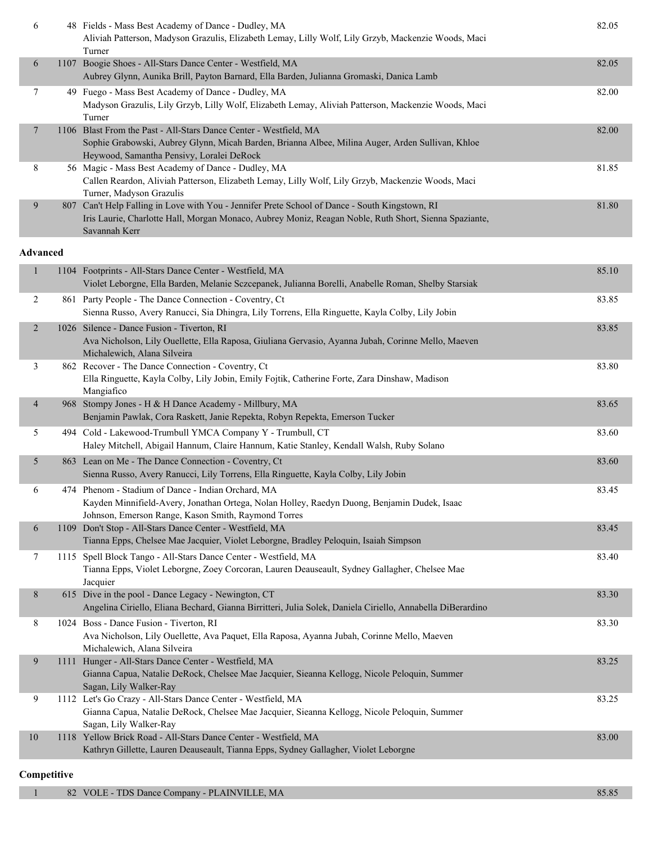| 6 | 48 Fields - Mass Best Academy of Dance - Dudley, MA                                                   | 82.05 |
|---|-------------------------------------------------------------------------------------------------------|-------|
|   | Aliviah Patterson, Madyson Grazulis, Elizabeth Lemay, Lilly Wolf, Lily Grzyb, Mackenzie Woods, Maci   |       |
|   | Turner                                                                                                |       |
| 6 | 1107 Boogie Shoes - All-Stars Dance Center - Westfield, MA                                            | 82.05 |
|   | Aubrey Glynn, Aunika Brill, Payton Barnard, Ella Barden, Julianna Gromaski, Danica Lamb               |       |
| 7 | 49 Fuego - Mass Best Academy of Dance - Dudley, MA                                                    | 82.00 |
|   | Madyson Grazulis, Lily Grzyb, Lilly Wolf, Elizabeth Lemay, Aliviah Patterson, Mackenzie Woods, Maci   |       |
|   | Turner                                                                                                |       |
| 7 | 1106 Blast From the Past - All-Stars Dance Center - Westfield, MA                                     | 82.00 |
|   | Sophie Grabowski, Aubrey Glynn, Micah Barden, Brianna Albee, Milina Auger, Arden Sullivan, Khloe      |       |
|   | Heywood, Samantha Pensivy, Loralei DeRock                                                             |       |
| 8 | 56 Magic - Mass Best Academy of Dance - Dudley, MA                                                    | 81.85 |
|   | Callen Reardon, Aliviah Patterson, Elizabeth Lemay, Lilly Wolf, Lily Grzyb, Mackenzie Woods, Maci     |       |
|   | Turner, Madyson Grazulis                                                                              |       |
| 9 | 807 Can't Help Falling in Love with You - Jennifer Prete School of Dance - South Kingstown, RI        | 81.80 |
|   | Iris Laurie, Charlotte Hall, Morgan Monaco, Aubrey Moniz, Reagan Noble, Ruth Short, Sienna Spaziante, |       |
|   | Savannah Kerr                                                                                         |       |

#### **Advanced**

| $\mathbf{1}$   | 1104 Footprints - All-Stars Dance Center - Westfield, MA<br>Violet Leborgne, Ella Barden, Melanie Sczcepanek, Julianna Borelli, Anabelle Roman, Shelby Starsiak                                          | 85.10 |
|----------------|----------------------------------------------------------------------------------------------------------------------------------------------------------------------------------------------------------|-------|
| $\overline{2}$ | 861 Party People - The Dance Connection - Coventry, Ct<br>Sienna Russo, Avery Ranucci, Sia Dhingra, Lily Torrens, Ella Ringuette, Kayla Colby, Lily Jobin                                                | 83.85 |
| $\overline{2}$ | 1026 Silence - Dance Fusion - Tiverton, RI<br>Ava Nicholson, Lily Ouellette, Ella Raposa, Giuliana Gervasio, Ayanna Jubah, Corinne Mello, Maeven<br>Michalewich, Alana Silveira                          | 83.85 |
| 3              | 862 Recover - The Dance Connection - Coventry, Ct<br>Ella Ringuette, Kayla Colby, Lily Jobin, Emily Fojtik, Catherine Forte, Zara Dinshaw, Madison<br>Mangiafico                                         | 83.80 |
| $\overline{4}$ | 968 Stompy Jones - H & H Dance Academy - Millbury, MA<br>Benjamin Pawlak, Cora Raskett, Janie Repekta, Robyn Repekta, Emerson Tucker                                                                     | 83.65 |
| 5              | 494 Cold - Lakewood-Trumbull YMCA Company Y - Trumbull, CT<br>Haley Mitchell, Abigail Hannum, Claire Hannum, Katie Stanley, Kendall Walsh, Ruby Solano                                                   | 83.60 |
| 5              | 863 Lean on Me - The Dance Connection - Coventry, Ct<br>Sienna Russo, Avery Ranucci, Lily Torrens, Ella Ringuette, Kayla Colby, Lily Jobin                                                               | 83.60 |
| 6              | 474 Phenom - Stadium of Dance - Indian Orchard, MA<br>Kayden Minnifield-Avery, Jonathan Ortega, Nolan Holley, Raedyn Duong, Benjamin Dudek, Isaac<br>Johnson, Emerson Range, Kason Smith, Raymond Torres | 83.45 |
| 6              | 1109 Don't Stop - All-Stars Dance Center - Westfield, MA<br>Tianna Epps, Chelsee Mae Jacquier, Violet Leborgne, Bradley Peloquin, Isaiah Simpson                                                         | 83.45 |
| $\tau$         | 1115 Spell Block Tango - All-Stars Dance Center - Westfield, MA<br>Tianna Epps, Violet Leborgne, Zoey Corcoran, Lauren Deauseault, Sydney Gallagher, Chelsee Mae<br>Jacquier                             | 83.40 |
| 8              | 615 Dive in the pool - Dance Legacy - Newington, CT<br>Angelina Ciriello, Eliana Bechard, Gianna Birritteri, Julia Solek, Daniela Ciriello, Annabella DiBerardino                                        | 83.30 |
| 8              | 1024 Boss - Dance Fusion - Tiverton, RI<br>Ava Nicholson, Lily Ouellette, Ava Paquet, Ella Raposa, Ayanna Jubah, Corinne Mello, Maeven<br>Michalewich, Alana Silveira                                    | 83.30 |
| 9              | 1111 Hunger - All-Stars Dance Center - Westfield, MA<br>Gianna Capua, Natalie DeRock, Chelsee Mae Jacquier, Sieanna Kellogg, Nicole Peloquin, Summer<br>Sagan, Lily Walker-Ray                           | 83.25 |
| 9              | 1112 Let's Go Crazy - All-Stars Dance Center - Westfield, MA<br>Gianna Capua, Natalie DeRock, Chelsee Mae Jacquier, Sieanna Kellogg, Nicole Peloquin, Summer<br>Sagan, Lily Walker-Ray                   | 83.25 |
| 10             | 1118 Yellow Brick Road - All-Stars Dance Center - Westfield, MA<br>Kathryn Gillette, Lauren Deauseault, Tianna Epps, Sydney Gallagher, Violet Leborgne                                                   | 83.00 |

#### **Competitive**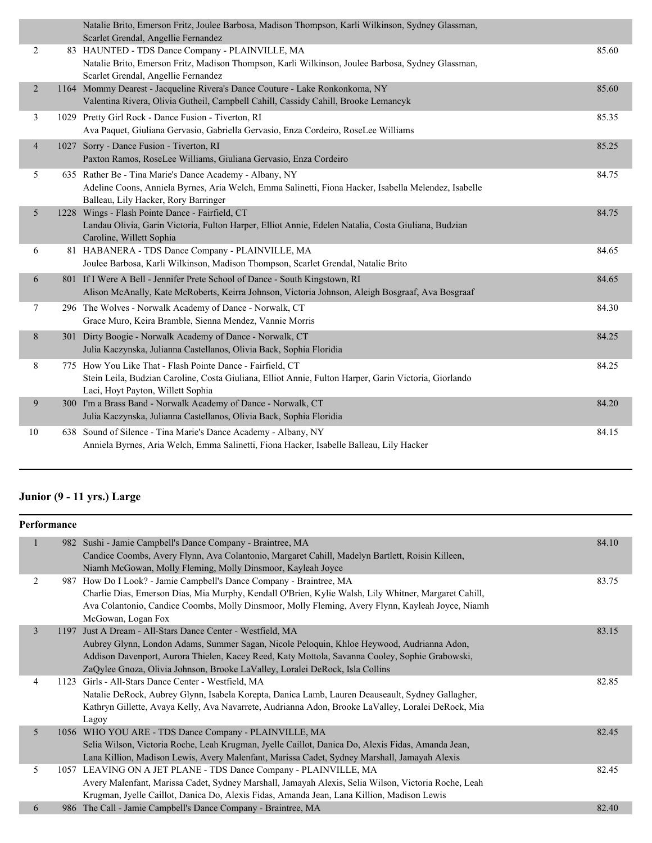|                | Natalie Brito, Emerson Fritz, Joulee Barbosa, Madison Thompson, Karli Wilkinson, Sydney Glassman,<br>Scarlet Grendal, Angellie Fernandez                                                                 |       |
|----------------|----------------------------------------------------------------------------------------------------------------------------------------------------------------------------------------------------------|-------|
| $\overline{2}$ | 83 HAUNTED - TDS Dance Company - PLAINVILLE, MA<br>Natalie Brito, Emerson Fritz, Madison Thompson, Karli Wilkinson, Joulee Barbosa, Sydney Glassman,<br>Scarlet Grendal, Angellie Fernandez              | 85.60 |
| 2              | 1164 Mommy Dearest - Jacqueline Rivera's Dance Couture - Lake Ronkonkoma, NY<br>Valentina Rivera, Olivia Gutheil, Campbell Cahill, Cassidy Cahill, Brooke Lemancyk                                       | 85.60 |
| 3              | 1029 Pretty Girl Rock - Dance Fusion - Tiverton, RI<br>Ava Paquet, Giuliana Gervasio, Gabriella Gervasio, Enza Cordeiro, RoseLee Williams                                                                | 85.35 |
| $\overline{4}$ | 1027 Sorry - Dance Fusion - Tiverton, RI<br>Paxton Ramos, RoseLee Williams, Giuliana Gervasio, Enza Cordeiro                                                                                             | 85.25 |
| 5              | 635 Rather Be - Tina Marie's Dance Academy - Albany, NY<br>Adeline Coons, Anniela Byrnes, Aria Welch, Emma Salinetti, Fiona Hacker, Isabella Melendez, Isabelle<br>Balleau, Lily Hacker, Rory Barringer  | 84.75 |
| 5              | 1228 Wings - Flash Pointe Dance - Fairfield, CT<br>Landau Olivia, Garin Victoria, Fulton Harper, Elliot Annie, Edelen Natalia, Costa Giuliana, Budzian<br>Caroline, Willett Sophia                       | 84.75 |
| 6              | 81 HABANERA - TDS Dance Company - PLAINVILLE, MA<br>Joulee Barbosa, Karli Wilkinson, Madison Thompson, Scarlet Grendal, Natalie Brito                                                                    | 84.65 |
| 6              | 801 If I Were A Bell - Jennifer Prete School of Dance - South Kingstown, RI<br>Alison McAnally, Kate McRoberts, Keirra Johnson, Victoria Johnson, Aleigh Bosgraaf, Ava Bosgraaf                          | 84.65 |
| 7              | 296 The Wolves - Norwalk Academy of Dance - Norwalk, CT<br>Grace Muro, Keira Bramble, Sienna Mendez, Vannie Morris                                                                                       | 84.30 |
| 8              | 301 Dirty Boogie - Norwalk Academy of Dance - Norwalk, CT<br>Julia Kaczynska, Julianna Castellanos, Olivia Back, Sophia Floridia                                                                         | 84.25 |
| 8              | 775 How You Like That - Flash Pointe Dance - Fairfield, CT<br>Stein Leila, Budzian Caroline, Costa Giuliana, Elliot Annie, Fulton Harper, Garin Victoria, Giorlando<br>Laci, Hoyt Payton, Willett Sophia | 84.25 |
| 9              | 300 I'm a Brass Band - Norwalk Academy of Dance - Norwalk, CT<br>Julia Kaczynska, Julianna Castellanos, Olivia Back, Sophia Floridia                                                                     | 84.20 |
| 10             | 638 Sound of Silence - Tina Marie's Dance Academy - Albany, NY<br>Anniela Byrnes, Aria Welch, Emma Salinetti, Fiona Hacker, Isabelle Balleau, Lily Hacker                                                | 84.15 |

#### **Junior (9 - 11 yrs.) Large**

| Performance    |      |                                                                                                                                                                                                                                                                                                                                           |       |
|----------------|------|-------------------------------------------------------------------------------------------------------------------------------------------------------------------------------------------------------------------------------------------------------------------------------------------------------------------------------------------|-------|
|                |      | 982 Sushi - Jamie Campbell's Dance Company - Braintree, MA<br>Candice Coombs, Avery Flynn, Ava Colantonio, Margaret Cahill, Madelyn Bartlett, Roisin Killeen,<br>Niamh McGowan, Molly Fleming, Molly Dinsmoor, Kayleah Joyce                                                                                                              | 84.10 |
| 2              | 987  | How Do I Look? - Jamie Campbell's Dance Company - Braintree, MA<br>Charlie Dias, Emerson Dias, Mia Murphy, Kendall O'Brien, Kylie Walsh, Lily Whitner, Margaret Cahill,<br>Ava Colantonio, Candice Coombs, Molly Dinsmoor, Molly Fleming, Avery Flynn, Kayleah Joyce, Niamh<br>McGowan, Logan Fox                                         | 83.75 |
| $\overline{3}$ |      | 1197 Just A Dream - All-Stars Dance Center - Westfield, MA<br>Aubrey Glynn, London Adams, Summer Sagan, Nicole Peloquin, Khloe Heywood, Audrianna Adon,<br>Addison Davenport, Aurora Thielen, Kacey Reed, Katy Mottola, Savanna Cooley, Sophie Grabowski,<br>ZaQylee Gnoza, Olivia Johnson, Brooke LaValley, Loralei DeRock, Isla Collins | 83.15 |
| 4              |      | 1123 Girls - All-Stars Dance Center - Westfield, MA<br>Natalie DeRock, Aubrey Glynn, Isabela Korepta, Danica Lamb, Lauren Deauseault, Sydney Gallagher,<br>Kathryn Gillette, Avaya Kelly, Ava Navarrete, Audrianna Adon, Brooke LaValley, Loralei DeRock, Mia<br>Lagoy                                                                    | 82.85 |
| 5              |      | 1056 WHO YOU ARE - TDS Dance Company - PLAINVILLE, MA<br>Selia Wilson, Victoria Roche, Leah Krugman, Jyelle Caillot, Danica Do, Alexis Fidas, Amanda Jean,<br>Lana Killion, Madison Lewis, Avery Malenfant, Marissa Cadet, Sydney Marshall, Jamayah Alexis                                                                                | 82.45 |
| 5              | 1057 | LEAVING ON A JET PLANE - TDS Dance Company - PLAINVILLE, MA<br>Avery Malenfant, Marissa Cadet, Sydney Marshall, Jamayah Alexis, Selia Wilson, Victoria Roche, Leah<br>Krugman, Jyelle Caillot, Danica Do, Alexis Fidas, Amanda Jean, Lana Killion, Madison Lewis                                                                          | 82.45 |
| 6              |      | 986 The Call - Jamie Campbell's Dance Company - Braintree, MA                                                                                                                                                                                                                                                                             | 82.40 |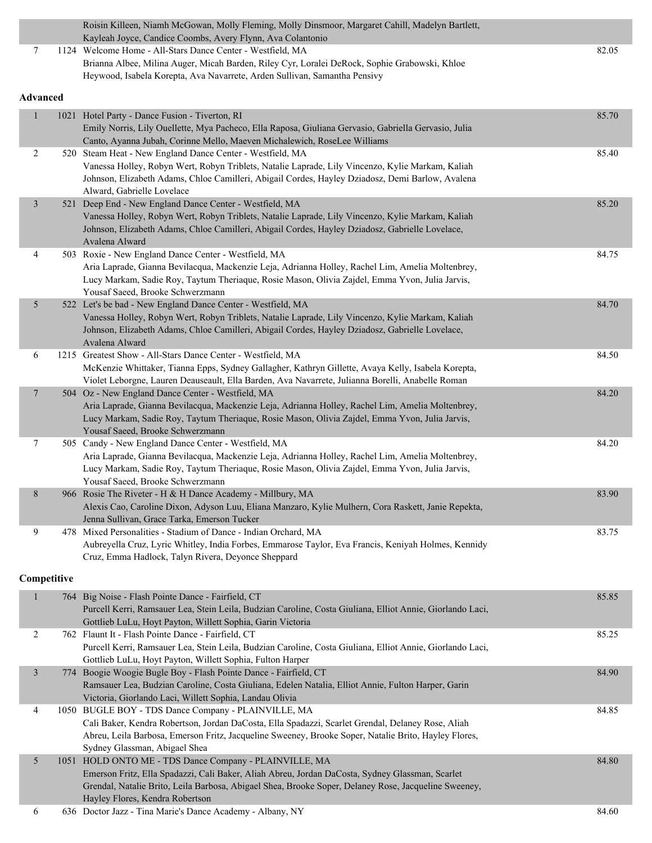|                  | Roisin Killeen, Niamh McGowan, Molly Fleming, Molly Dinsmoor, Margaret Cahill, Madelyn Bartlett,<br>Kayleah Joyce, Candice Coombs, Avery Flynn, Ava Colantonio  |       |
|------------------|-----------------------------------------------------------------------------------------------------------------------------------------------------------------|-------|
| 7                | 1124 Welcome Home - All-Stars Dance Center - Westfield, MA                                                                                                      | 82.05 |
|                  | Brianna Albee, Milina Auger, Micah Barden, Riley Cyr, Loralei DeRock, Sophie Grabowski, Khloe                                                                   |       |
|                  | Heywood, Isabela Korepta, Ava Navarrete, Arden Sullivan, Samantha Pensivy                                                                                       |       |
| Advanced         |                                                                                                                                                                 |       |
| $\mathbf{1}$     | 1021 Hotel Party - Dance Fusion - Tiverton, RI                                                                                                                  | 85.70 |
|                  | Emily Norris, Lily Ouellette, Mya Pacheco, Ella Raposa, Giuliana Gervasio, Gabriella Gervasio, Julia                                                            |       |
|                  | Canto, Ayanna Jubah, Corinne Mello, Maeven Michalewich, RoseLee Williams                                                                                        |       |
| 2                | 520 Steam Heat - New England Dance Center - Westfield, MA                                                                                                       | 85.40 |
|                  | Vanessa Holley, Robyn Wert, Robyn Triblets, Natalie Laprade, Lily Vincenzo, Kylie Markam, Kaliah                                                                |       |
|                  | Johnson, Elizabeth Adams, Chloe Camilleri, Abigail Cordes, Hayley Dziadosz, Demi Barlow, Avalena                                                                |       |
|                  | Alward, Gabrielle Lovelace                                                                                                                                      |       |
| $\mathfrak{Z}$   | 521 Deep End - New England Dance Center - Westfield, MA                                                                                                         | 85.20 |
|                  | Vanessa Holley, Robyn Wert, Robyn Triblets, Natalie Laprade, Lily Vincenzo, Kylie Markam, Kaliah                                                                |       |
|                  | Johnson, Elizabeth Adams, Chloe Camilleri, Abigail Cordes, Hayley Dziadosz, Gabrielle Lovelace,                                                                 |       |
|                  | Avalena Alward                                                                                                                                                  |       |
| 4                | 503 Roxie - New England Dance Center - Westfield, MA                                                                                                            | 84.75 |
|                  | Aria Laprade, Gianna Bevilacqua, Mackenzie Leja, Adrianna Holley, Rachel Lim, Amelia Moltenbrey,                                                                |       |
|                  | Lucy Markam, Sadie Roy, Taytum Theriaque, Rosie Mason, Olivia Zajdel, Emma Yvon, Julia Jarvis,                                                                  |       |
|                  | Yousaf Saeed, Brooke Schwerzmann                                                                                                                                |       |
| 5                | 522 Let's be bad - New England Dance Center - Westfield, MA<br>Vanessa Holley, Robyn Wert, Robyn Triblets, Natalie Laprade, Lily Vincenzo, Kylie Markam, Kaliah | 84.70 |
|                  | Johnson, Elizabeth Adams, Chloe Camilleri, Abigail Cordes, Hayley Dziadosz, Gabrielle Lovelace,                                                                 |       |
|                  | Avalena Alward                                                                                                                                                  |       |
| 6                | 1215 Greatest Show - All-Stars Dance Center - Westfield, MA                                                                                                     | 84.50 |
|                  | McKenzie Whittaker, Tianna Epps, Sydney Gallagher, Kathryn Gillette, Avaya Kelly, Isabela Korepta,                                                              |       |
|                  | Violet Leborgne, Lauren Deauseault, Ella Barden, Ava Navarrete, Julianna Borelli, Anabelle Roman                                                                |       |
| $\boldsymbol{7}$ | 504 Oz - New England Dance Center - Westfield, MA                                                                                                               | 84.20 |
|                  | Aria Laprade, Gianna Bevilacqua, Mackenzie Leja, Adrianna Holley, Rachel Lim, Amelia Moltenbrey,                                                                |       |
|                  | Lucy Markam, Sadie Roy, Taytum Theriaque, Rosie Mason, Olivia Zajdel, Emma Yvon, Julia Jarvis,                                                                  |       |
|                  | Yousaf Saeed, Brooke Schwerzmann                                                                                                                                |       |
| $\tau$           | 505 Candy - New England Dance Center - Westfield, MA                                                                                                            | 84.20 |
|                  | Aria Laprade, Gianna Bevilacqua, Mackenzie Leja, Adrianna Holley, Rachel Lim, Amelia Moltenbrey,                                                                |       |
|                  | Lucy Markam, Sadie Roy, Taytum Theriaque, Rosie Mason, Olivia Zajdel, Emma Yvon, Julia Jarvis,                                                                  |       |
| 8                | Yousaf Saeed, Brooke Schwerzmann<br>966 Rosie The Riveter - H & H Dance Academy - Millbury, MA                                                                  | 83.90 |
|                  | Alexis Cao, Caroline Dixon, Adyson Luu, Eliana Manzaro, Kylie Mulhern, Cora Raskett, Janie Repekta,                                                             |       |
|                  | Jenna Sullivan, Grace Tarka, Emerson Tucker                                                                                                                     |       |
| 9                | 478 Mixed Personalities - Stadium of Dance - Indian Orchard, MA                                                                                                 | 83.75 |
|                  | Aubreyella Cruz, Lyric Whitley, India Forbes, Emmarose Taylor, Eva Francis, Keniyah Holmes, Kennidy                                                             |       |
|                  | Cruz, Emma Hadlock, Talyn Rivera, Deyonce Sheppard                                                                                                              |       |
|                  |                                                                                                                                                                 |       |
| Competitive      |                                                                                                                                                                 |       |
| $\mathbf{1}$     | 764 Big Noise - Flash Pointe Dance - Fairfield, CT                                                                                                              | 85.85 |
|                  | Purcell Kerri, Ramsauer Lea, Stein Leila, Budzian Caroline, Costa Giuliana, Elliot Annie, Giorlando Laci,                                                       |       |
|                  | Gottlieb LuLu, Hoyt Payton, Willett Sophia, Garin Victoria                                                                                                      |       |
| 2                | 762 Flaunt It - Flash Pointe Dance - Fairfield, CT                                                                                                              | 85.25 |
|                  | Purcell Kerri, Ramsauer Lea, Stein Leila, Budzian Caroline, Costa Giuliana, Elliot Annie, Giorlando Laci,                                                       |       |
| $\mathfrak{Z}$   | Gottlieb LuLu, Hoyt Payton, Willett Sophia, Fulton Harper<br>774 Boogie Woogie Bugle Boy - Flash Pointe Dance - Fairfield, CT                                   | 84.90 |
|                  | Ramsauer Lea, Budzian Caroline, Costa Giuliana, Edelen Natalia, Elliot Annie, Fulton Harper, Garin                                                              |       |
|                  | Victoria, Giorlando Laci, Willett Sophia, Landau Olivia                                                                                                         |       |
| 4                | 1050 BUGLE BOY - TDS Dance Company - PLAINVILLE, MA                                                                                                             | 84.85 |
|                  | Cali Baker, Kendra Robertson, Jordan DaCosta, Ella Spadazzi, Scarlet Grendal, Delaney Rose, Aliah                                                               |       |
|                  | Abreu, Leila Barbosa, Emerson Fritz, Jacqueline Sweeney, Brooke Soper, Natalie Brito, Hayley Flores,                                                            |       |
|                  | Sydney Glassman, Abigael Shea                                                                                                                                   |       |
| 5                | 1051 HOLD ONTO ME - TDS Dance Company - PLAINVILLE, MA                                                                                                          | 84.80 |
|                  | Emerson Fritz, Ella Spadazzi, Cali Baker, Aliah Abreu, Jordan DaCosta, Sydney Glassman, Scarlet                                                                 |       |
|                  | Grendal, Natalie Brito, Leila Barbosa, Abigael Shea, Brooke Soper, Delaney Rose, Jacqueline Sweeney,                                                            |       |
|                  | Hayley Flores, Kendra Robertson                                                                                                                                 |       |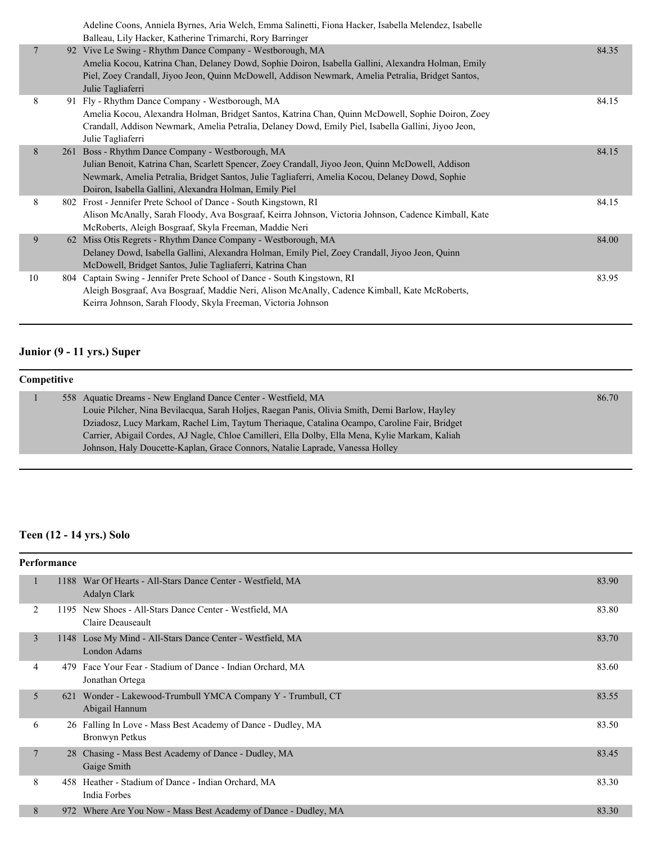|                | Adeline Coons, Anniela Byrnes, Aria Welch, Emma Salinetti, Fiona Hacker, Isabella Melendez, Isabelle                                                                                                                                                                                                                               |       |
|----------------|------------------------------------------------------------------------------------------------------------------------------------------------------------------------------------------------------------------------------------------------------------------------------------------------------------------------------------|-------|
| $\overline{7}$ | Balleau, Lily Hacker, Katherine Trimarchi, Rory Barringer<br>92 Vive Le Swing - Rhythm Dance Company - Westborough, MA<br>Amelia Kocou, Katrina Chan, Delaney Dowd, Sophie Doiron, Isabella Gallini, Alexandra Holman, Emily<br>Piel, Zoey Crandall, Jiyoo Jeon, Quinn McDowell, Addison Newmark, Amelia Petralia, Bridget Santos, | 84.35 |
|                | Julie Tagliaferri                                                                                                                                                                                                                                                                                                                  |       |
| 8              | 91 Fly - Rhythm Dance Company - Westborough, MA<br>Amelia Kocou, Alexandra Holman, Bridget Santos, Katrina Chan, Quinn McDowell, Sophie Doiron, Zoey<br>Crandall, Addison Newmark, Amelia Petralia, Delaney Dowd, Emily Piel, Isabella Gallini, Jiyoo Jeon,<br>Julie Tagliaferri                                                   | 84.15 |
| 8              | 261 Boss - Rhythm Dance Company - Westborough, MA<br>Julian Benoit, Katrina Chan, Scarlett Spencer, Zoey Crandall, Jiyoo Jeon, Quinn McDowell, Addison<br>Newmark, Amelia Petralia, Bridget Santos, Julie Tagliaferri, Amelia Kocou, Delaney Dowd, Sophie<br>Doiron, Isabella Gallini, Alexandra Holman, Emily Piel                | 84.15 |
| 8              | 802 Frost - Jennifer Prete School of Dance - South Kingstown, RI<br>Alison McAnally, Sarah Floody, Ava Bosgraaf, Keirra Johnson, Victoria Johnson, Cadence Kimball, Kate<br>McRoberts, Aleigh Bosgraaf, Skyla Freeman, Maddie Neri                                                                                                 | 84.15 |
| 9              | 62 Miss Otis Regrets - Rhythm Dance Company - Westborough, MA<br>Delaney Dowd, Isabella Gallini, Alexandra Holman, Emily Piel, Zoey Crandall, Jiyoo Jeon, Quinn<br>McDowell, Bridget Santos, Julie Tagliaferri, Katrina Chan                                                                                                       | 84.00 |
| 10             | 804 Captain Swing - Jennifer Prete School of Dance - South Kingstown, RI<br>Aleigh Bosgraaf, Ava Bosgraaf, Maddie Neri, Alison McAnally, Cadence Kimball, Kate McRoberts,<br>Keirra Johnson, Sarah Floody, Skyla Freeman, Victoria Johnson                                                                                         | 83.95 |

#### **Junior (9 - 11 yrs.) Super**

#### **Competitive** 1 558 Aquatic Dreams - New England Dance Center - Westfield, MA 86.70 Louie Pilcher, Nina Bevilacqua, Sarah Holjes, Raegan Panis, Olivia Smith, Demi Barlow, Hayley Dziadosz, Lucy Markam, Rachel Lim, Taytum Theriaque, Catalina Ocampo, Caroline Fair, Bridget Carrier, Abigail Cordes, AJ Nagle, Chloe Camilleri, Ella Dolby, Ella Mena, Kylie Markam, Kaliah Johnson, Haly Doucette-Kaplan, Grace Connors, Natalie Laprade, Vanessa Holley

#### **Teen (12 - 14 yrs.) Solo**

|   | Performance |                                                                                    |       |
|---|-------------|------------------------------------------------------------------------------------|-------|
|   |             | 1188 War Of Hearts - All-Stars Dance Center - Westfield, MA<br><b>Adalyn Clark</b> | 83.90 |
| 2 |             | 1195 New Shoes - All-Stars Dance Center - Westfield, MA<br>Claire Deauseault       | 83.80 |
| 3 |             | 1148 Lose My Mind - All-Stars Dance Center - Westfield, MA<br><b>London Adams</b>  | 83.70 |
| 4 | 479         | Face Your Fear - Stadium of Dance - Indian Orchard, MA<br>Jonathan Ortega          | 83.60 |
| 5 | 621         | Wonder - Lakewood-Trumbull YMCA Company Y - Trumbull, CT<br>Abigail Hannum         | 83.55 |
| 6 |             | 26 Falling In Love - Mass Best Academy of Dance - Dudley, MA<br>Bronwyn Petkus     | 83.50 |
| 7 |             | 28 Chasing - Mass Best Academy of Dance - Dudley, MA<br>Gaige Smith                | 83.45 |
| 8 |             | 458 Heather - Stadium of Dance - Indian Orchard, MA<br>India Forbes                | 83.30 |
| 8 |             | 972 Where Are You Now - Mass Best Academy of Dance - Dudley, MA                    | 83.30 |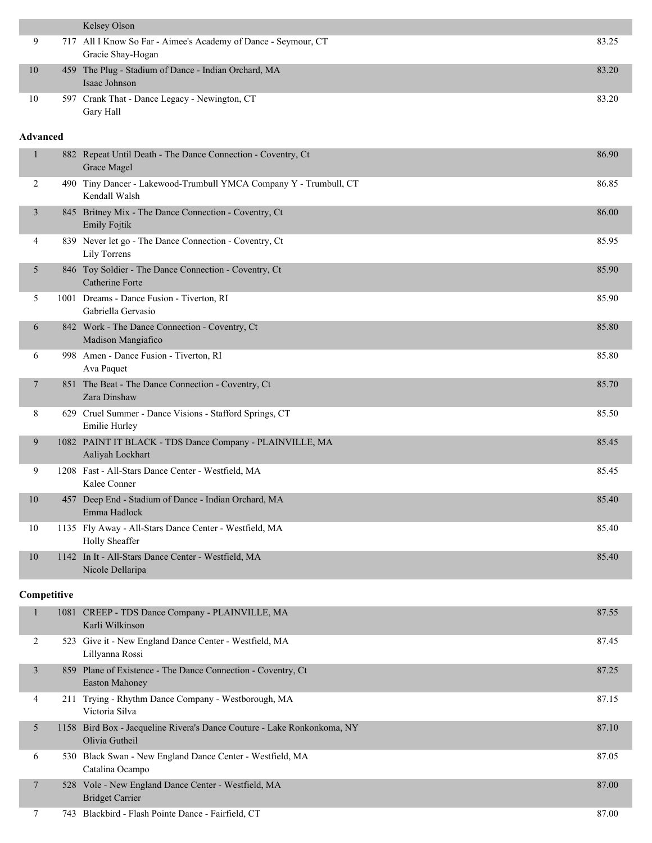|                 |             | Kelsey Olson                                                                              |       |
|-----------------|-------------|-------------------------------------------------------------------------------------------|-------|
| 9               |             | 717 All I Know So Far - Aimee's Academy of Dance - Seymour, CT<br>Gracie Shay-Hogan       | 83.25 |
| 10              |             | 459 The Plug - Stadium of Dance - Indian Orchard, MA<br>Isaac Johnson                     | 83.20 |
| 10              |             | 597 Crank That - Dance Legacy - Newington, CT<br>Gary Hall                                | 83.20 |
| <b>Advanced</b> |             |                                                                                           |       |
| 1               |             | 882 Repeat Until Death - The Dance Connection - Coventry, Ct<br>Grace Magel               | 86.90 |
| 2               |             | 490 Tiny Dancer - Lakewood-Trumbull YMCA Company Y - Trumbull, CT<br>Kendall Walsh        | 86.85 |
| $\mathfrak{Z}$  |             | 845 Britney Mix - The Dance Connection - Coventry, Ct<br><b>Emily Fojtik</b>              | 86.00 |
| 4               |             | 839 Never let go - The Dance Connection - Coventry, Ct<br>Lily Torrens                    | 85.95 |
| 5               |             | 846 Toy Soldier - The Dance Connection - Coventry, Ct<br>Catherine Forte                  | 85.90 |
| 5               |             | 1001 Dreams - Dance Fusion - Tiverton, RI<br>Gabriella Gervasio                           | 85.90 |
| 6               |             | 842 Work - The Dance Connection - Coventry, Ct<br>Madison Mangiafico                      | 85.80 |
| 6               |             | 998 Amen - Dance Fusion - Tiverton, RI<br>Ava Paquet                                      | 85.80 |
| 7               |             | 851 The Beat - The Dance Connection - Coventry, Ct<br>Zara Dinshaw                        | 85.70 |
| 8               |             | 629 Cruel Summer - Dance Visions - Stafford Springs, CT<br>Emilie Hurley                  | 85.50 |
| 9               |             | 1082 PAINT IT BLACK - TDS Dance Company - PLAINVILLE, MA<br>Aaliyah Lockhart              | 85.45 |
| 9               |             | 1208 Fast - All-Stars Dance Center - Westfield, MA<br>Kalee Conner                        | 85.45 |
| $10\,$          |             | 457 Deep End - Stadium of Dance - Indian Orchard, MA<br>Emma Hadlock                      | 85.40 |
| 10              |             | 1135 Fly Away - All-Stars Dance Center - Westfield, MA<br>Holly Sheaffer                  | 85.40 |
| 10              |             | 1142 In It - All-Stars Dance Center - Westfield, MA<br>Nicole Dellaripa                   | 85.40 |
|                 | Competitive |                                                                                           |       |
| $\mathbf{1}$    |             | 1081 CREEP - TDS Dance Company - PLAINVILLE, MA<br>Karli Wilkinson                        | 87.55 |
| 2               |             | 523 Give it - New England Dance Center - Westfield, MA<br>Lillyanna Rossi                 | 87.45 |
| $\mathfrak{Z}$  |             | 859 Plane of Existence - The Dance Connection - Coventry, Ct<br>Easton Mahoney            | 87.25 |
| 4               |             | 211 Trying - Rhythm Dance Company - Westborough, MA<br>Victoria Silva                     | 87.15 |
| 5               |             | 1158 Bird Box - Jacqueline Rivera's Dance Couture - Lake Ronkonkoma, NY<br>Olivia Gutheil | 87.10 |
| 6               |             | 530 Black Swan - New England Dance Center - Westfield, MA<br>Catalina Ocampo              | 87.05 |
| 7               |             | 528 Vole - New England Dance Center - Westfield, MA<br><b>Bridget Carrier</b>             | 87.00 |
| 7               |             | 743 Blackbird - Flash Pointe Dance - Fairfield, CT                                        | 87.00 |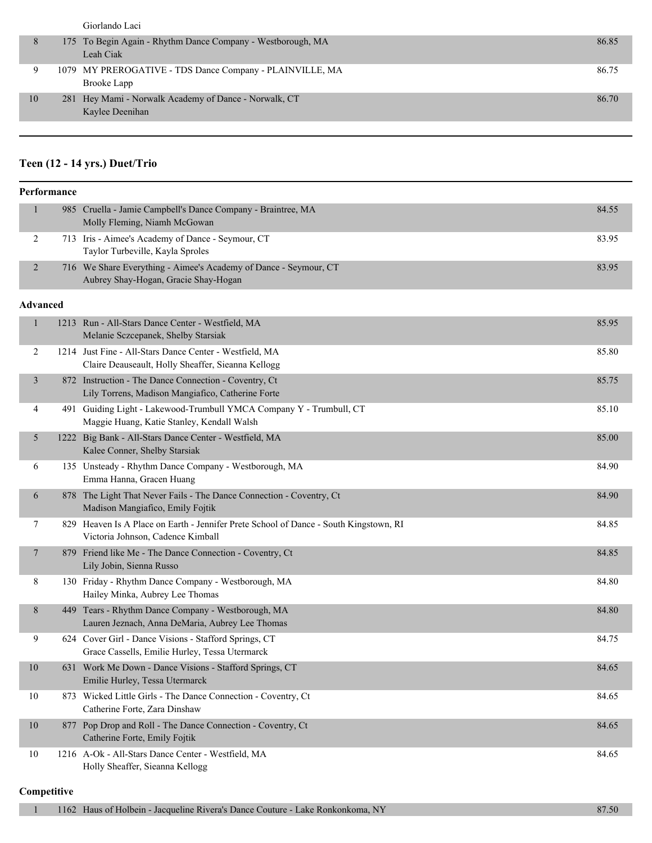|    | Giorlando Laci                                                           |       |
|----|--------------------------------------------------------------------------|-------|
|    | 175 To Begin Again - Rhythm Dance Company - Westborough, MA<br>Leah Ciak | 86.85 |
|    | 1079 MY PREROGATIVE - TDS Dance Company - PLAINVILLE, MA<br>Brooke Lapp  | 86.75 |
| 10 | 281 Hey Mami - Norwalk Academy of Dance - Norwalk, CT<br>Kaylee Deenihan | 86.70 |

#### **Teen (12 - 14 yrs.) Duet/Trio**

|                | Performance     |                                                                                                                            |       |
|----------------|-----------------|----------------------------------------------------------------------------------------------------------------------------|-------|
| $\mathbf{1}$   |                 | 985 Cruella - Jamie Campbell's Dance Company - Braintree, MA<br>Molly Fleming, Niamh McGowan                               | 84.55 |
| 2              |                 | 713 Iris - Aimee's Academy of Dance - Seymour, CT<br>Taylor Turbeville, Kayla Sproles                                      | 83.95 |
| $\overline{2}$ |                 | 716 We Share Everything - Aimee's Academy of Dance - Seymour, CT<br>Aubrey Shay-Hogan, Gracie Shay-Hogan                   | 83.95 |
|                | <b>Advanced</b> |                                                                                                                            |       |
| $\mathbf{1}$   |                 | 1213 Run - All-Stars Dance Center - Westfield, MA<br>Melanie Sczcepanek, Shelby Starsiak                                   | 85.95 |
| 2              |                 | 1214 Just Fine - All-Stars Dance Center - Westfield, MA<br>Claire Deauseault, Holly Sheaffer, Sieanna Kellogg              | 85.80 |
| $\mathfrak{Z}$ |                 | 872 Instruction - The Dance Connection - Coventry, Ct<br>Lily Torrens, Madison Mangiafico, Catherine Forte                 | 85.75 |
| 4              |                 | 491 Guiding Light - Lakewood-Trumbull YMCA Company Y - Trumbull, CT<br>Maggie Huang, Katie Stanley, Kendall Walsh          | 85.10 |
| 5              |                 | 1222 Big Bank - All-Stars Dance Center - Westfield, MA<br>Kalee Conner, Shelby Starsiak                                    | 85.00 |
| 6              |                 | 135 Unsteady - Rhythm Dance Company - Westborough, MA<br>Emma Hanna, Gracen Huang                                          | 84.90 |
| 6              |                 | 878 The Light That Never Fails - The Dance Connection - Coventry, Ct<br>Madison Mangiafico, Emily Fojtik                   | 84.90 |
| 7              |                 | 829 Heaven Is A Place on Earth - Jennifer Prete School of Dance - South Kingstown, RI<br>Victoria Johnson, Cadence Kimball | 84.85 |
| 7              |                 | 879 Friend like Me - The Dance Connection - Coventry, Ct<br>Lily Jobin, Sienna Russo                                       | 84.85 |
| 8              |                 | 130 Friday - Rhythm Dance Company - Westborough, MA<br>Hailey Minka, Aubrey Lee Thomas                                     | 84.80 |
| 8              |                 | 449 Tears - Rhythm Dance Company - Westborough, MA<br>Lauren Jeznach, Anna DeMaria, Aubrey Lee Thomas                      | 84.80 |
| 9              |                 | 624 Cover Girl - Dance Visions - Stafford Springs, CT<br>Grace Cassells, Emilie Hurley, Tessa Utermarck                    | 84.75 |
| 10             |                 | 631 Work Me Down - Dance Visions - Stafford Springs, CT<br>Emilie Hurley, Tessa Utermarck                                  | 84.65 |
| 10             |                 | 873 Wicked Little Girls - The Dance Connection - Coventry, Ct<br>Catherine Forte, Zara Dinshaw                             | 84.65 |
| 10             |                 | 877 Pop Drop and Roll - The Dance Connection - Coventry, Ct<br>Catherine Forte, Emily Fojtik                               | 84.65 |
| 10             |                 | 1216 A-Ok - All-Stars Dance Center - Westfield, MA<br>Holly Sheaffer, Sieanna Kellogg                                      | 84.65 |

#### **Competitive**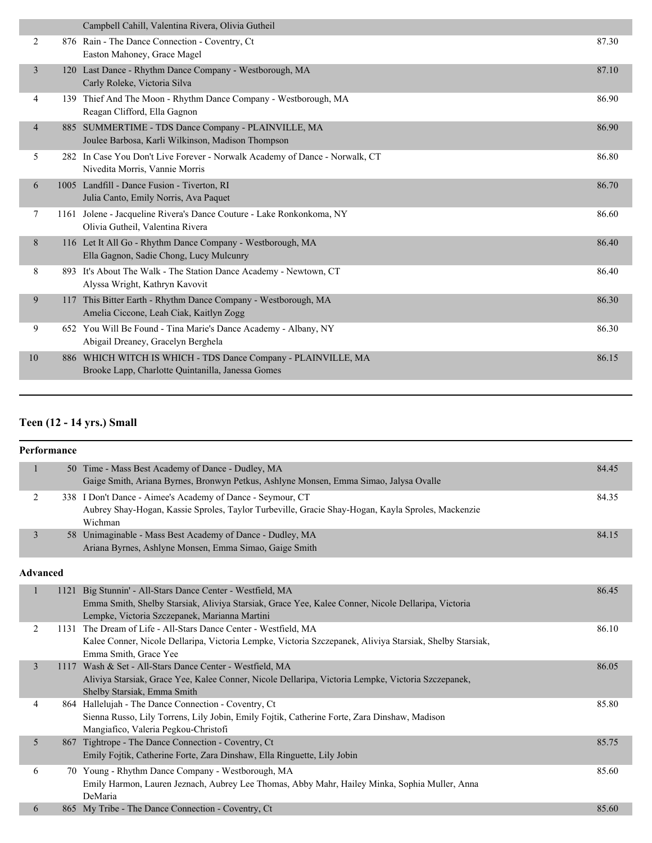|                | Campbell Cahill, Valentina Rivera, Olivia Gutheil                                                                  |       |
|----------------|--------------------------------------------------------------------------------------------------------------------|-------|
| 2              | 876 Rain - The Dance Connection - Coventry, Ct<br>Easton Mahoney, Grace Magel                                      | 87.30 |
| $\overline{3}$ | 120 Last Dance - Rhythm Dance Company - Westborough, MA<br>Carly Roleke, Victoria Silva                            | 87.10 |
| 4              | 139 Thief And The Moon - Rhythm Dance Company - Westborough, MA<br>Reagan Clifford, Ella Gagnon                    | 86.90 |
| $\overline{4}$ | 885 SUMMERTIME - TDS Dance Company - PLAINVILLE, MA<br>Joulee Barbosa, Karli Wilkinson, Madison Thompson           | 86.90 |
| 5              | 282 In Case You Don't Live Forever - Norwalk Academy of Dance - Norwalk, CT<br>Nivedita Morris, Vannie Morris      | 86.80 |
| 6              | 1005 Landfill - Dance Fusion - Tiverton, RI<br>Julia Canto, Emily Norris, Ava Paquet                               | 86.70 |
| 7              | 1161 Jolene - Jacqueline Rivera's Dance Couture - Lake Ronkonkoma, NY<br>Olivia Gutheil, Valentina Rivera          | 86.60 |
| 8              | 116 Let It All Go - Rhythm Dance Company - Westborough, MA<br>Ella Gagnon, Sadie Chong, Lucy Mulcunry              | 86.40 |
| 8              | 893 It's About The Walk - The Station Dance Academy - Newtown, CT<br>Alyssa Wright, Kathryn Kavovit                | 86.40 |
| 9              | 117 This Bitter Earth - Rhythm Dance Company - Westborough, MA<br>Amelia Ciccone, Leah Ciak, Kaitlyn Zogg          | 86.30 |
| 9              | 652 You Will Be Found - Tina Marie's Dance Academy - Albany, NY<br>Abigail Dreaney, Gracelyn Berghela              | 86.30 |
| 10             | 886 WHICH WITCH IS WHICH - TDS Dance Company - PLAINVILLE, MA<br>Brooke Lapp, Charlotte Quintanilla, Janessa Gomes | 86.15 |
|                |                                                                                                                    |       |

# **Teen (12 - 14 yrs.) Small**

|                | Performance |                                                                                                                                                                                                                   |       |
|----------------|-------------|-------------------------------------------------------------------------------------------------------------------------------------------------------------------------------------------------------------------|-------|
| $\mathbf{1}$   |             | 50 Time - Mass Best Academy of Dance - Dudley, MA<br>Gaige Smith, Ariana Byrnes, Bronwyn Petkus, Ashlyne Monsen, Emma Simao, Jalysa Ovalle                                                                        | 84.45 |
| 2              |             | 338 I Don't Dance - Aimee's Academy of Dance - Seymour, CT<br>Aubrey Shay-Hogan, Kassie Sproles, Taylor Turbeville, Gracie Shay-Hogan, Kayla Sproles, Mackenzie<br>Wichman                                        | 84.35 |
| 3              |             | 58 Unimaginable - Mass Best Academy of Dance - Dudley, MA<br>Ariana Byrnes, Ashlyne Monsen, Emma Simao, Gaige Smith                                                                                               | 84.15 |
|                | Advanced    |                                                                                                                                                                                                                   |       |
| 1              |             | 1121 Big Stunnin' - All-Stars Dance Center - Westfield, MA<br>Emma Smith, Shelby Starsiak, Aliviya Starsiak, Grace Yee, Kalee Conner, Nicole Dellaripa, Victoria<br>Lempke, Victoria Szczepanek, Marianna Martini | 86.45 |
| 2              |             | 1131 The Dream of Life - All-Stars Dance Center - Westfield, MA<br>Kalee Conner, Nicole Dellaripa, Victoria Lempke, Victoria Szczepanek, Aliviya Starsiak, Shelby Starsiak,<br>Emma Smith, Grace Yee              | 86.10 |
| $\mathfrak{Z}$ |             | 1117 Wash & Set - All-Stars Dance Center - Westfield, MA<br>Aliviya Starsiak, Grace Yee, Kalee Conner, Nicole Dellaripa, Victoria Lempke, Victoria Szczepanek,<br>Shelby Starsiak, Emma Smith                     | 86.05 |
| 4              |             | 864 Hallelujah - The Dance Connection - Coventry, Ct<br>Sienna Russo, Lily Torrens, Lily Jobin, Emily Fojtik, Catherine Forte, Zara Dinshaw, Madison<br>Mangiafico, Valeria Pegkou-Christofi                      | 85.80 |
| 5              |             | 867 Tightrope - The Dance Connection - Coventry, Ct<br>Emily Fojtik, Catherine Forte, Zara Dinshaw, Ella Ringuette, Lily Jobin                                                                                    | 85.75 |
| 6              |             | 70 Young - Rhythm Dance Company - Westborough, MA<br>Emily Harmon, Lauren Jeznach, Aubrey Lee Thomas, Abby Mahr, Hailey Minka, Sophia Muller, Anna<br>DeMaria                                                     | 85.60 |
| 6              |             | 865 My Tribe - The Dance Connection - Coventry, Ct                                                                                                                                                                | 85.60 |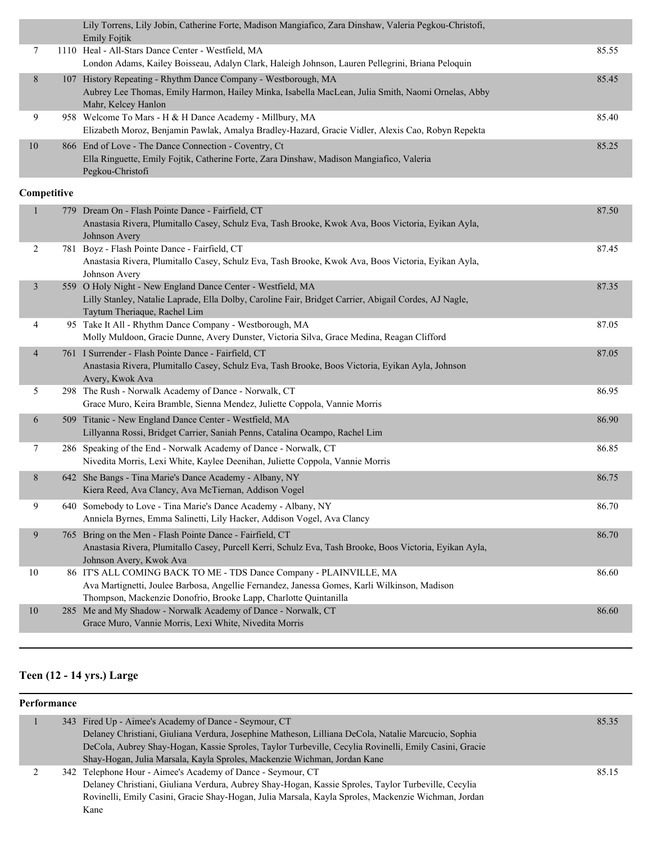|    | Lily Torrens, Lily Jobin, Catherine Forte, Madison Mangiafico, Zara Dinshaw, Valeria Pegkou-Christofi,<br><b>Emily Fojtik</b>                                                              |       |
|----|--------------------------------------------------------------------------------------------------------------------------------------------------------------------------------------------|-------|
|    | 1110 Heal - All-Stars Dance Center - Westfield, MA<br>London Adams, Kailey Boisseau, Adalyn Clark, Haleigh Johnson, Lauren Pellegrini, Briana Peloquin                                     | 85.55 |
| 8  | 107 History Repeating - Rhythm Dance Company - Westborough, MA<br>Aubrey Lee Thomas, Emily Harmon, Hailey Minka, Isabella MacLean, Julia Smith, Naomi Ornelas, Abby<br>Mahr, Kelcey Hanlon | 85.45 |
| 9  | 958 Welcome To Mars - H & H Dance Academy - Millbury, MA<br>Elizabeth Moroz, Benjamin Pawlak, Amalya Bradley-Hazard, Gracie Vidler, Alexis Cao, Robyn Repekta                              | 85.40 |
| 10 | 866 End of Love - The Dance Connection - Coventry, Ct<br>Ella Ringuette, Emily Fojtik, Catherine Forte, Zara Dinshaw, Madison Mangiafico, Valeria<br>Pegkou-Christofi                      | 85.25 |

#### **Competitive**

| $\mathbf{1}$   | 779 Dream On - Flash Pointe Dance - Fairfield, CT<br>Anastasia Rivera, Plumitallo Casey, Schulz Eva, Tash Brooke, Kwok Ava, Boos Victoria, Eyikan Ayla,<br>Johnson Avery                                                               | 87.50 |
|----------------|----------------------------------------------------------------------------------------------------------------------------------------------------------------------------------------------------------------------------------------|-------|
| 2              | 781 Boyz - Flash Pointe Dance - Fairfield, CT<br>Anastasia Rivera, Plumitallo Casey, Schulz Eva, Tash Brooke, Kwok Ava, Boos Victoria, Eyikan Ayla,<br>Johnson Avery                                                                   | 87.45 |
| 3              | 559 O Holy Night - New England Dance Center - Westfield, MA<br>Lilly Stanley, Natalie Laprade, Ella Dolby, Caroline Fair, Bridget Carrier, Abigail Cordes, AJ Nagle,<br>Taytum Theriaque, Rachel Lim                                   | 87.35 |
| 4              | 95 Take It All - Rhythm Dance Company - Westborough, MA<br>Molly Muldoon, Gracie Dunne, Avery Dunster, Victoria Silva, Grace Medina, Reagan Clifford                                                                                   | 87.05 |
| $\overline{4}$ | 761 I Surrender - Flash Pointe Dance - Fairfield, CT<br>Anastasia Rivera, Plumitallo Casey, Schulz Eva, Tash Brooke, Boos Victoria, Eyikan Ayla, Johnson<br>Avery, Kwok Ava                                                            | 87.05 |
| 5              | 298 The Rush - Norwalk Academy of Dance - Norwalk, CT<br>Grace Muro, Keira Bramble, Sienna Mendez, Juliette Coppola, Vannie Morris                                                                                                     | 86.95 |
| 6              | 509 Titanic - New England Dance Center - Westfield, MA<br>Lillyanna Rossi, Bridget Carrier, Saniah Penns, Catalina Ocampo, Rachel Lim                                                                                                  | 86.90 |
| $\tau$         | 286 Speaking of the End - Norwalk Academy of Dance - Norwalk, CT<br>Nivedita Morris, Lexi White, Kaylee Deenihan, Juliette Coppola, Vannie Morris                                                                                      | 86.85 |
| 8              | 642 She Bangs - Tina Marie's Dance Academy - Albany, NY<br>Kiera Reed, Ava Clancy, Ava McTiernan, Addison Vogel                                                                                                                        | 86.75 |
| 9              | 640 Somebody to Love - Tina Marie's Dance Academy - Albany, NY<br>Anniela Byrnes, Emma Salinetti, Lily Hacker, Addison Vogel, Ava Clancy                                                                                               | 86.70 |
| 9              | 765 Bring on the Men - Flash Pointe Dance - Fairfield, CT<br>Anastasia Rivera, Plumitallo Casey, Purcell Kerri, Schulz Eva, Tash Brooke, Boos Victoria, Eyikan Ayla,<br>Johnson Avery, Kwok Ava                                        | 86.70 |
| 10             | 86 IT'S ALL COMING BACK TO ME - TDS Dance Company - PLAINVILLE, MA<br>Ava Martignetti, Joulee Barbosa, Angellie Fernandez, Janessa Gomes, Karli Wilkinson, Madison<br>Thompson, Mackenzie Donofrio, Brooke Lapp, Charlotte Quintanilla | 86.60 |
| $10\,$         | 285 Me and My Shadow - Norwalk Academy of Dance - Norwalk, CT<br>Grace Muro, Vannie Morris, Lexi White, Nivedita Morris                                                                                                                | 86.60 |

### **Teen (12 - 14 yrs.) Large**

#### **Performance**

|  | 343 Fired Up - Aimee's Academy of Dance - Seymour, CT                                                 | 85.35 |
|--|-------------------------------------------------------------------------------------------------------|-------|
|  | Delaney Christiani, Giuliana Verdura, Josephine Matheson, Lilliana DeCola, Natalie Marcucio, Sophia   |       |
|  | DeCola, Aubrey Shay-Hogan, Kassie Sproles, Taylor Turbeville, Cecylia Rovinelli, Emily Casini, Gracie |       |
|  | Shay-Hogan, Julia Marsala, Kayla Sproles, Mackenzie Wichman, Jordan Kane                              |       |
|  | 342 Telephone Hour - Aimee's Academy of Dance - Seymour, CT                                           | 85.15 |
|  | Delaney Christiani, Giuliana Verdura, Aubrey Shay-Hogan, Kassie Sproles, Taylor Turbeville, Cecylia   |       |
|  | Rovinelli, Emily Casini, Gracie Shay-Hogan, Julia Marsala, Kayla Sproles, Mackenzie Wichman, Jordan   |       |
|  | Kane                                                                                                  |       |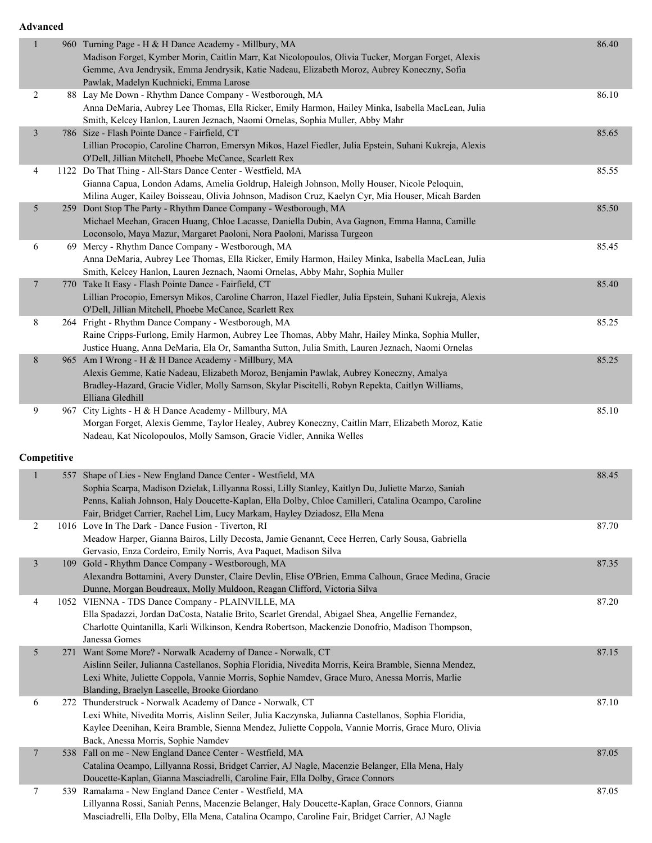| $\mathbf{1}$   | 960 Turning Page - H & H Dance Academy - Millbury, MA<br>Madison Forget, Kymber Morin, Caitlin Marr, Kat Nicolopoulos, Olivia Tucker, Morgan Forget, Alexis<br>Gemme, Ava Jendrysik, Emma Jendrysik, Katie Nadeau, Elizabeth Moroz, Aubrey Koneczny, Sofia<br>Pawlak, Madelyn Kuchnicki, Emma Larose                                                    | 86.40 |
|----------------|---------------------------------------------------------------------------------------------------------------------------------------------------------------------------------------------------------------------------------------------------------------------------------------------------------------------------------------------------------|-------|
| $\overline{c}$ | 88 Lay Me Down - Rhythm Dance Company - Westborough, MA<br>Anna DeMaria, Aubrey Lee Thomas, Ella Ricker, Emily Harmon, Hailey Minka, Isabella MacLean, Julia<br>Smith, Kelcey Hanlon, Lauren Jeznach, Naomi Ornelas, Sophia Muller, Abby Mahr                                                                                                           | 86.10 |
| $\mathfrak{Z}$ | 786 Size - Flash Pointe Dance - Fairfield, CT<br>Lillian Procopio, Caroline Charron, Emersyn Mikos, Hazel Fiedler, Julia Epstein, Suhani Kukreja, Alexis<br>O'Dell, Jillian Mitchell, Phoebe McCance, Scarlett Rex                                                                                                                                      | 85.65 |
| 4              | 1122 Do That Thing - All-Stars Dance Center - Westfield, MA<br>Gianna Capua, London Adams, Amelia Goldrup, Haleigh Johnson, Molly Houser, Nicole Peloquin,<br>Milina Auger, Kailey Boisseau, Olivia Johnson, Madison Cruz, Kaelyn Cyr, Mia Houser, Micah Barden                                                                                         | 85.55 |
| 5              | 259 Dont Stop The Party - Rhythm Dance Company - Westborough, MA<br>Michael Meehan, Gracen Huang, Chloe Lacasse, Daniella Dubin, Ava Gagnon, Emma Hanna, Camille<br>Loconsolo, Maya Mazur, Margaret Paoloni, Nora Paoloni, Marissa Turgeon                                                                                                              | 85.50 |
| 6              | 69 Mercy - Rhythm Dance Company - Westborough, MA<br>Anna DeMaria, Aubrey Lee Thomas, Ella Ricker, Emily Harmon, Hailey Minka, Isabella MacLean, Julia<br>Smith, Kelcey Hanlon, Lauren Jeznach, Naomi Ornelas, Abby Mahr, Sophia Muller                                                                                                                 | 85.45 |
| $\tau$         | 770 Take It Easy - Flash Pointe Dance - Fairfield, CT<br>Lillian Procopio, Emersyn Mikos, Caroline Charron, Hazel Fiedler, Julia Epstein, Suhani Kukreja, Alexis<br>O'Dell, Jillian Mitchell, Phoebe McCance, Scarlett Rex                                                                                                                              | 85.40 |
| $\,8\,$        | 264 Fright - Rhythm Dance Company - Westborough, MA<br>Raine Cripps-Furlong, Emily Harmon, Aubrey Lee Thomas, Abby Mahr, Hailey Minka, Sophia Muller,<br>Justice Huang, Anna DeMaria, Ela Or, Samantha Sutton, Julia Smith, Lauren Jeznach, Naomi Ornelas                                                                                               | 85.25 |
| $8\,$          | 965 Am I Wrong - H & H Dance Academy - Millbury, MA<br>Alexis Gemme, Katie Nadeau, Elizabeth Moroz, Benjamin Pawlak, Aubrey Koneczny, Amalya<br>Bradley-Hazard, Gracie Vidler, Molly Samson, Skylar Piscitelli, Robyn Repekta, Caitlyn Williams,<br>Elliana Gledhill                                                                                    | 85.25 |
| 9              | 967 City Lights - H & H Dance Academy - Millbury, MA<br>Morgan Forget, Alexis Gemme, Taylor Healey, Aubrey Koneczny, Caitlin Marr, Elizabeth Moroz, Katie<br>Nadeau, Kat Nicolopoulos, Molly Samson, Gracie Vidler, Annika Welles                                                                                                                       | 85.10 |
| Competitive    |                                                                                                                                                                                                                                                                                                                                                         |       |
| 1              | 557 Shape of Lies - New England Dance Center - Westfield, MA<br>Sophia Scarpa, Madison Dzielak, Lillyanna Rossi, Lilly Stanley, Kaitlyn Du, Juliette Marzo, Saniah<br>Penns, Kaliah Johnson, Haly Doucette-Kaplan, Ella Dolby, Chloe Camilleri, Catalina Ocampo, Caroline<br>Fair, Bridget Carrier, Rachel Lim, Lucy Markam, Hayley Dziadosz, Ella Mena | 88.45 |
| 2              | 1016 Love In The Dark - Dance Fusion - Tiverton, RI<br>Meadow Harper, Gianna Bairos, Lilly Decosta, Jamie Genannt, Cece Herren, Carly Sousa, Gabriella<br>Gervasio, Enza Cordeiro, Emily Norris, Ava Paquet, Madison Silva                                                                                                                              | 87.70 |
| $\mathfrak{Z}$ | 109 Gold - Rhythm Dance Company - Westborough, MA<br>Alexandra Bottamini, Avery Dunster, Claire Devlin, Elise O'Brien, Emma Calhoun, Grace Medina, Gracie<br>Dunne, Morgan Boudreaux, Molly Muldoon, Reagan Clifford, Victoria Silva                                                                                                                    | 87.35 |
| 4              | 1052 VIENNA - TDS Dance Company - PLAINVILLE, MA<br>Ella Spadazzi, Jordan DaCosta, Natalie Brito, Scarlet Grendal, Abigael Shea, Angellie Fernandez,<br>Charlotte Quintanilla, Karli Wilkinson, Kendra Robertson, Mackenzie Donofrio, Madison Thompson,<br>Janessa Gomes                                                                                | 87.20 |
| $\sqrt{5}$     | 271 Want Some More? - Norwalk Academy of Dance - Norwalk, CT<br>Aislinn Seiler, Julianna Castellanos, Sophia Floridia, Nivedita Morris, Keira Bramble, Sienna Mendez,<br>Lexi White, Juliette Coppola, Vannie Morris, Sophie Namdev, Grace Muro, Anessa Morris, Marlie<br>Blanding, Braelyn Lascelle, Brooke Giordano                                   | 87.15 |
| 6              | 272 Thunderstruck - Norwalk Academy of Dance - Norwalk, CT<br>Lexi White, Nivedita Morris, Aislinn Seiler, Julia Kaczynska, Julianna Castellanos, Sophia Floridia,<br>Kaylee Deenihan, Keira Bramble, Sienna Mendez, Juliette Coppola, Vannie Morris, Grace Muro, Olivia<br>Back, Anessa Morris, Sophie Namdev                                          | 87.10 |
| $\overline{7}$ | 538 Fall on me - New England Dance Center - Westfield, MA<br>Catalina Ocampo, Lillyanna Rossi, Bridget Carrier, AJ Nagle, Macenzie Belanger, Ella Mena, Haly<br>Doucette-Kaplan, Gianna Masciadrelli, Caroline Fair, Ella Dolby, Grace Connors                                                                                                          | 87.05 |
| 7              | 539 Ramalama - New England Dance Center - Westfield, MA<br>Lillyanna Rossi, Saniah Penns, Macenzie Belanger, Haly Doucette-Kaplan, Grace Connors, Gianna<br>Masciadrelli, Ella Dolby, Ella Mena, Catalina Ocampo, Caroline Fair, Bridget Carrier, AJ Nagle                                                                                              | 87.05 |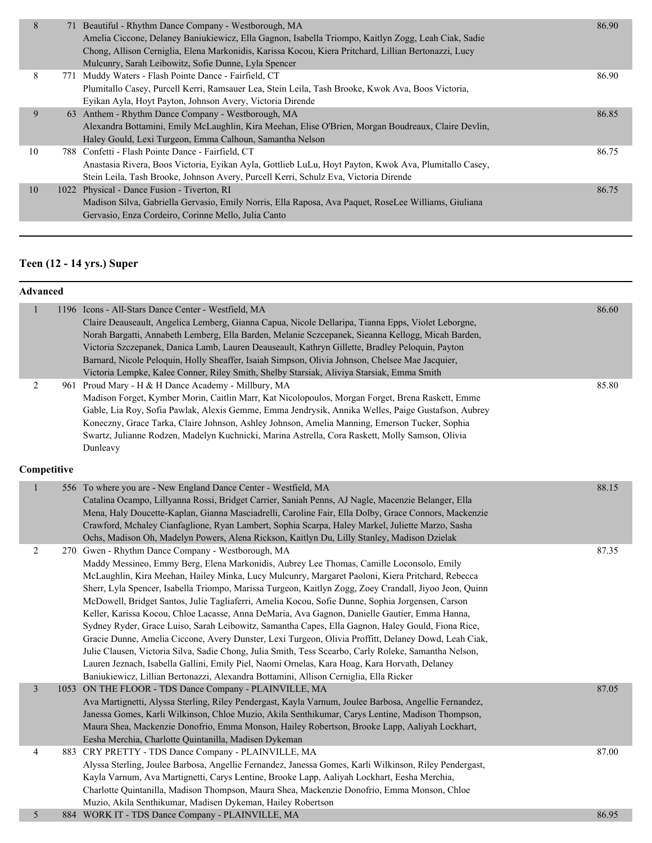| 8  | 71 Beautiful - Rhythm Dance Company - Westborough, MA                                                 | 86.90 |
|----|-------------------------------------------------------------------------------------------------------|-------|
|    | Amelia Ciccone, Delaney Baniukiewicz, Ella Gagnon, Isabella Triompo, Kaitlyn Zogg, Leah Ciak, Sadie   |       |
|    | Chong, Allison Cerniglia, Elena Markonidis, Karissa Kocou, Kiera Pritchard, Lillian Bertonazzi, Lucy  |       |
|    | Mulcunry, Sarah Leibowitz, Sofie Dunne, Lyla Spencer                                                  |       |
| 8  | 771 Muddy Waters - Flash Pointe Dance - Fairfield, CT                                                 | 86.90 |
|    | Plumitallo Casey, Purcell Kerri, Ramsauer Lea, Stein Leila, Tash Brooke, Kwok Ava, Boos Victoria,     |       |
|    | Eyikan Ayla, Hoyt Payton, Johnson Avery, Victoria Dirende                                             |       |
| 9  | 63 Anthem - Rhythm Dance Company - Westborough, MA                                                    | 86.85 |
|    | Alexandra Bottamini, Emily McLaughlin, Kira Meehan, Elise O'Brien, Morgan Boudreaux, Claire Devlin,   |       |
|    | Haley Gould, Lexi Turgeon, Emma Calhoun, Samantha Nelson                                              |       |
| 10 | 788 Confetti - Flash Pointe Dance - Fairfield, CT                                                     | 86.75 |
|    | Anastasia Rivera, Boos Victoria, Eyikan Ayla, Gottlieb LuLu, Hoyt Payton, Kwok Ava, Plumitallo Casey, |       |
|    | Stein Leila, Tash Brooke, Johnson Avery, Purcell Kerri, Schulz Eva, Victoria Dirende                  |       |
| 10 | 1022 Physical - Dance Fusion - Tiverton, RI                                                           | 86.75 |
|    | Madison Silva, Gabriella Gervasio, Emily Norris, Ella Raposa, Ava Paquet, RoseLee Williams, Giuliana  |       |
|    | Gervasio, Enza Cordeiro, Corinne Mello, Julia Canto                                                   |       |
|    |                                                                                                       |       |

#### **Teen (12 - 14 yrs.) Super**

| $\mathbf{1}$   | 1196 Icons - All-Stars Dance Center - Westfield, MA                                                    | 86.60 |
|----------------|--------------------------------------------------------------------------------------------------------|-------|
|                | Claire Deauseault, Angelica Lemberg, Gianna Capua, Nicole Dellaripa, Tianna Epps, Violet Leborgne,     |       |
|                | Norah Bargatti, Annabeth Lemberg, Ella Barden, Melanie Sczcepanek, Sieanna Kellogg, Micah Barden,      |       |
|                | Victoria Szczepanek, Danica Lamb, Lauren Deauseault, Kathryn Gillette, Bradley Peloquin, Payton        |       |
|                | Barnard, Nicole Peloquin, Holly Sheaffer, Isaiah Simpson, Olivia Johnson, Chelsee Mae Jacquier,        |       |
|                | Victoria Lempke, Kalee Conner, Riley Smith, Shelby Starsiak, Aliviya Starsiak, Emma Smith              |       |
| 2              | 961 Proud Mary - H & H Dance Academy - Millbury, MA                                                    | 85.80 |
|                | Madison Forget, Kymber Morin, Caitlin Marr, Kat Nicolopoulos, Morgan Forget, Brena Raskett, Emme       |       |
|                | Gable, Lia Roy, Sofia Pawlak, Alexis Gemme, Emma Jendrysik, Annika Welles, Paige Gustafson, Aubrey     |       |
|                | Koneczny, Grace Tarka, Claire Johnson, Ashley Johnson, Amelia Manning, Emerson Tucker, Sophia          |       |
|                | Swartz, Julianne Rodzen, Madelyn Kuchnicki, Marina Astrella, Cora Raskett, Molly Samson, Olivia        |       |
|                | Dunleavy                                                                                               |       |
| Competitive    |                                                                                                        |       |
| $\mathbf{1}$   | 556 To where you are - New England Dance Center - Westfield, MA                                        | 88.15 |
|                | Catalina Ocampo, Lillyanna Rossi, Bridget Carrier, Saniah Penns, AJ Nagle, Macenzie Belanger, Ella     |       |
|                | Mena, Haly Doucette-Kaplan, Gianna Masciadrelli, Caroline Fair, Ella Dolby, Grace Connors, Mackenzie   |       |
|                |                                                                                                        |       |
|                | Crawford, Mchaley Cianfaglione, Ryan Lambert, Sophia Scarpa, Haley Markel, Juliette Marzo, Sasha       |       |
|                | Ochs, Madison Oh, Madelyn Powers, Alena Rickson, Kaitlyn Du, Lilly Stanley, Madison Dzielak            |       |
| $\overline{c}$ | 270 Gwen - Rhythm Dance Company - Westborough, MA                                                      | 87.35 |
|                | Maddy Messineo, Emmy Berg, Elena Markonidis, Aubrey Lee Thomas, Camille Loconsolo, Emily               |       |
|                | McLaughlin, Kira Meehan, Hailey Minka, Lucy Mulcunry, Margaret Paoloni, Kiera Pritchard, Rebecca       |       |
|                | Sherr, Lyla Spencer, Isabella Triompo, Marissa Turgeon, Kaitlyn Zogg, Zoey Crandall, Jiyoo Jeon, Quinn |       |
|                | McDowell, Bridget Santos, Julie Tagliaferri, Amelia Kocou, Sofie Dunne, Sophia Jorgensen, Carson       |       |
|                | Keller, Karissa Kocou, Chloe Lacasse, Anna DeMaria, Ava Gagnon, Danielle Gautier, Emma Hanna,          |       |
|                | Sydney Ryder, Grace Luiso, Sarah Leibowitz, Samantha Capes, Ella Gagnon, Haley Gould, Fiona Rice,      |       |
|                | Gracie Dunne, Amelia Ciccone, Avery Dunster, Lexi Turgeon, Olivia Proffitt, Delaney Dowd, Leah Ciak,   |       |
|                | Julie Clausen, Victoria Silva, Sadie Chong, Julia Smith, Tess Scearbo, Carly Roleke, Samantha Nelson,  |       |
|                | Lauren Jeznach, Isabella Gallini, Emily Piel, Naomi Ornelas, Kara Hoag, Kara Horvath, Delaney          |       |
|                | Baniukiewicz, Lillian Bertonazzi, Alexandra Bottamini, Allison Cerniglia, Ella Ricker                  |       |
| $\mathfrak{Z}$ | 1053 ON THE FLOOR - TDS Dance Company - PLAINVILLE, MA                                                 | 87.05 |
|                | Ava Martignetti, Alyssa Sterling, Riley Pendergast, Kayla Varnum, Joulee Barbosa, Angellie Fernandez,  |       |
|                | Janessa Gomes, Karli Wilkinson, Chloe Muzio, Akila Senthikumar, Carys Lentine, Madison Thompson,       |       |
|                | Maura Shea, Mackenzie Donofrio, Emma Monson, Hailey Robertson, Brooke Lapp, Aaliyah Lockhart,          |       |
|                | Eesha Merchia, Charlotte Quintanilla, Madisen Dykeman                                                  |       |
| 4              | 883 CRY PRETTY - TDS Dance Company - PLAINVILLE, MA                                                    | 87.00 |
|                | Alyssa Sterling, Joulee Barbosa, Angellie Fernandez, Janessa Gomes, Karli Wilkinson, Riley Pendergast, |       |
|                | Kayla Varnum, Ava Martignetti, Carys Lentine, Brooke Lapp, Aaliyah Lockhart, Eesha Merchia,            |       |
|                | Charlotte Quintanilla, Madison Thompson, Maura Shea, Mackenzie Donofrio, Emma Monson, Chloe            |       |
|                | Muzio, Akila Senthikumar, Madisen Dykeman, Hailey Robertson                                            |       |
| 5              | 884 WORK IT - TDS Dance Company - PLAINVILLE, MA                                                       | 86.95 |
|                |                                                                                                        |       |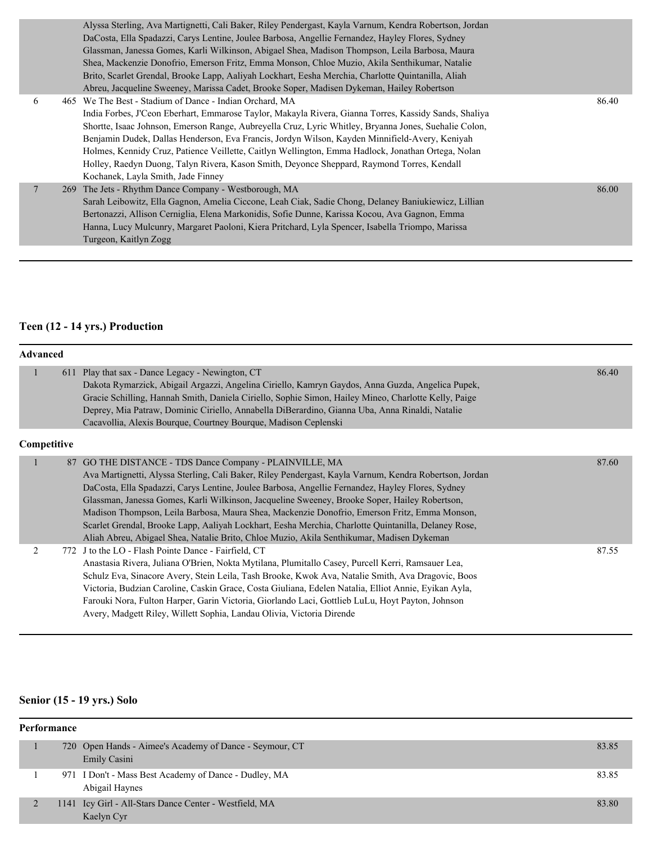|   | Alyssa Sterling, Ava Martignetti, Cali Baker, Riley Pendergast, Kayla Varnum, Kendra Robertson, Jordan |       |
|---|--------------------------------------------------------------------------------------------------------|-------|
|   | DaCosta, Ella Spadazzi, Carys Lentine, Joulee Barbosa, Angellie Fernandez, Hayley Flores, Sydney       |       |
|   | Glassman, Janessa Gomes, Karli Wilkinson, Abigael Shea, Madison Thompson, Leila Barbosa, Maura         |       |
|   | Shea, Mackenzie Donofrio, Emerson Fritz, Emma Monson, Chloe Muzio, Akila Senthikumar, Natalie          |       |
|   | Brito, Scarlet Grendal, Brooke Lapp, Aaliyah Lockhart, Eesha Merchia, Charlotte Quintanilla, Aliah     |       |
|   | Abreu, Jacqueline Sweeney, Marissa Cadet, Brooke Soper, Madisen Dykeman, Hailey Robertson              |       |
| 6 | 465 We The Best - Stadium of Dance - Indian Orchard, MA                                                | 86.40 |
|   | India Forbes, J'Ceon Eberhart, Emmarose Taylor, Makayla Rivera, Gianna Torres, Kassidy Sands, Shaliya  |       |
|   | Shortte, Isaac Johnson, Emerson Range, Aubreyella Cruz, Lyric Whitley, Bryanna Jones, Suehalie Colon,  |       |
|   | Benjamin Dudek, Dallas Henderson, Eva Francis, Jordyn Wilson, Kayden Minnifield-Avery, Keniyah         |       |
|   | Holmes, Kennidy Cruz, Patience Veillette, Caitlyn Wellington, Emma Hadlock, Jonathan Ortega, Nolan     |       |
|   | Holley, Raedyn Duong, Talyn Rivera, Kason Smith, Deyonce Sheppard, Raymond Torres, Kendall             |       |
|   | Kochanek, Layla Smith, Jade Finney                                                                     |       |
|   | 269 The Jets - Rhythm Dance Company - Westborough, MA                                                  | 86.00 |
|   | Sarah Leibowitz, Ella Gagnon, Amelia Ciccone, Leah Ciak, Sadie Chong, Delaney Baniukiewicz, Lillian    |       |
|   | Bertonazzi, Allison Cerniglia, Elena Markonidis, Sofie Dunne, Karissa Kocou, Ava Gagnon, Emma          |       |
|   | Hanna, Lucy Mulcunry, Margaret Paoloni, Kiera Pritchard, Lyla Spencer, Isabella Triompo, Marissa       |       |
|   | Turgeon, Kaitlyn Zogg                                                                                  |       |
|   |                                                                                                        |       |

#### **Teen (12 - 14 yrs.) Production**

|                | <b>Advanced</b> |                                                                                                                                                                                                                                                                                                                                                                                                                                                                                                                                                                                                                                                                            |       |  |  |
|----------------|-----------------|----------------------------------------------------------------------------------------------------------------------------------------------------------------------------------------------------------------------------------------------------------------------------------------------------------------------------------------------------------------------------------------------------------------------------------------------------------------------------------------------------------------------------------------------------------------------------------------------------------------------------------------------------------------------------|-------|--|--|
| $\mathbf{1}$   |                 | 611 Play that sax - Dance Legacy - Newington, CT<br>Dakota Rymarzick, Abigail Argazzi, Angelina Ciriello, Kamryn Gaydos, Anna Guzda, Angelica Pupek,<br>Gracie Schilling, Hannah Smith, Daniela Ciriello, Sophie Simon, Hailey Mineo, Charlotte Kelly, Paige<br>Deprey, Mia Patraw, Dominic Ciriello, Annabella DiBerardino, Gianna Uba, Anna Rinaldi, Natalie<br>Cacavollia, Alexis Bourque, Courtney Bourque, Madison Ceplenski                                                                                                                                                                                                                                          | 86.40 |  |  |
| Competitive    |                 |                                                                                                                                                                                                                                                                                                                                                                                                                                                                                                                                                                                                                                                                            |       |  |  |
| $\mathbf{1}$   |                 | 87 GO THE DISTANCE - TDS Dance Company - PLAINVILLE, MA<br>Ava Martignetti, Alyssa Sterling, Cali Baker, Riley Pendergast, Kayla Varnum, Kendra Robertson, Jordan<br>DaCosta, Ella Spadazzi, Carys Lentine, Joulee Barbosa, Angellie Fernandez, Hayley Flores, Sydney<br>Glassman, Janessa Gomes, Karli Wilkinson, Jacqueline Sweeney, Brooke Soper, Hailey Robertson,<br>Madison Thompson, Leila Barbosa, Maura Shea, Mackenzie Donofrio, Emerson Fritz, Emma Monson,<br>Scarlet Grendal, Brooke Lapp, Aaliyah Lockhart, Eesha Merchia, Charlotte Quintanilla, Delaney Rose,<br>Aliah Abreu, Abigael Shea, Natalie Brito, Chloe Muzio, Akila Senthikumar, Madisen Dykeman | 87.60 |  |  |
| $\overline{2}$ |                 | 772 J to the LO - Flash Pointe Dance - Fairfield, CT<br>Anastasia Rivera, Juliana O'Brien, Nokta Mytilana, Plumitallo Casey, Purcell Kerri, Ramsauer Lea,<br>Schulz Eva, Sinacore Avery, Stein Leila, Tash Brooke, Kwok Ava, Natalie Smith, Ava Dragovic, Boos<br>Victoria, Budzian Caroline, Caskin Grace, Costa Giuliana, Edelen Natalia, Elliot Annie, Eyikan Ayla,<br>Farouki Nora, Fulton Harper, Garin Victoria, Giorlando Laci, Gottlieb LuLu, Hoyt Payton, Johnson<br>Avery, Madgett Riley, Willett Sophia, Landau Olivia, Victoria Dirende                                                                                                                        | 87.55 |  |  |

#### **Senior (15 - 19 yrs.) Solo**

| Performance |  |                                                                         |       |  |
|-------------|--|-------------------------------------------------------------------------|-------|--|
|             |  | 720 Open Hands - Aimee's Academy of Dance - Seymour, CT<br>Emily Casini | 83.85 |  |
|             |  | 971 I Don't - Mass Best Academy of Dance - Dudley, MA<br>Abigail Haynes | 83.85 |  |
|             |  | 1141 Icy Girl - All-Stars Dance Center - Westfield, MA<br>Kaelyn Cyr    | 83.80 |  |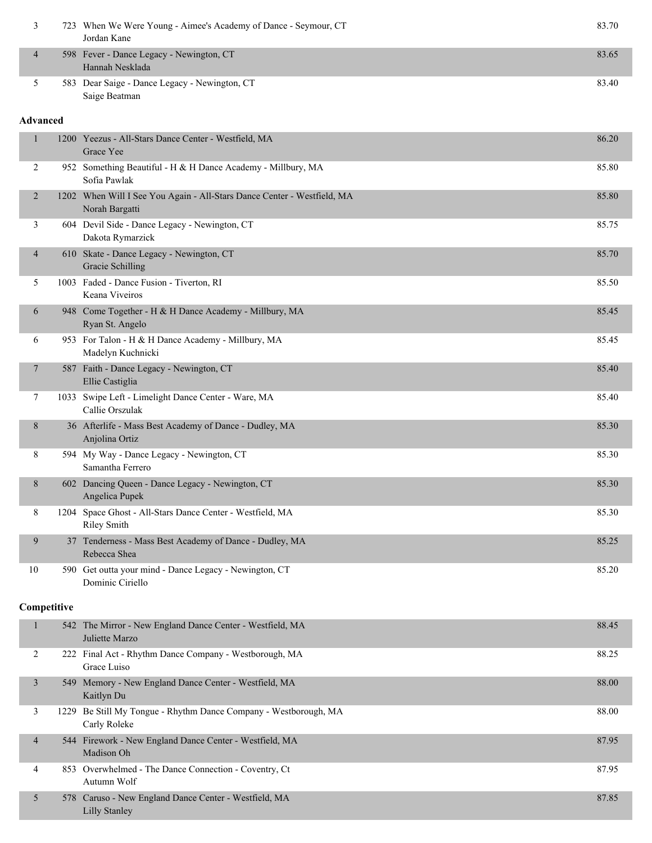|         | 723 When We Were Young - Aimee's Academy of Dance - Seymour, CT<br>Jordan Kane | 83.70 |
|---------|--------------------------------------------------------------------------------|-------|
| 4       | 598 Fever - Dance Legacy - Newington, CT<br>Hannah Nesklada                    | 83.65 |
|         | 583 Dear Saige - Dance Legacy - Newington, CT<br>Saige Beatman                 | 83.40 |
| haancad |                                                                                |       |

| 1                       |      | 1200 Yeezus - All-Stars Dance Center - Westfield, MA<br>Grace Yee                         | 86.20 |
|-------------------------|------|-------------------------------------------------------------------------------------------|-------|
| 2                       |      | 952 Something Beautiful - H & H Dance Academy - Millbury, MA<br>Sofia Pawlak              | 85.80 |
| 2                       |      | 1202 When Will I See You Again - All-Stars Dance Center - Westfield, MA<br>Norah Bargatti | 85.80 |
| 3                       |      | 604 Devil Side - Dance Legacy - Newington, CT<br>Dakota Rymarzick                         | 85.75 |
| 4                       |      | 610 Skate - Dance Legacy - Newington, CT<br><b>Gracie Schilling</b>                       | 85.70 |
| 5                       |      | 1003 Faded - Dance Fusion - Tiverton, RI<br>Keana Viveiros                                | 85.50 |
| 6                       |      | 948 Come Together - H & H Dance Academy - Millbury, MA<br>Ryan St. Angelo                 | 85.45 |
| 6                       |      | 953 For Talon - H & H Dance Academy - Millbury, MA<br>Madelyn Kuchnicki                   | 85.45 |
| 7                       |      | 587 Faith - Dance Legacy - Newington, CT<br>Ellie Castiglia                               | 85.40 |
| 7                       |      | 1033 Swipe Left - Limelight Dance Center - Ware, MA<br>Callie Orszulak                    | 85.40 |
| 8                       |      | 36 Afterlife - Mass Best Academy of Dance - Dudley, MA<br>Anjolina Ortiz                  | 85.30 |
| 8                       |      | 594 My Way - Dance Legacy - Newington, CT<br>Samantha Ferrero                             | 85.30 |
| 8                       |      | 602 Dancing Queen - Dance Legacy - Newington, CT<br>Angelica Pupek                        | 85.30 |
| 8                       |      | 1204 Space Ghost - All-Stars Dance Center - Westfield, MA<br><b>Riley Smith</b>           | 85.30 |
| 9                       |      | 37 Tenderness - Mass Best Academy of Dance - Dudley, MA<br>Rebecca Shea                   | 85.25 |
| 10                      |      | 590 Get outta your mind - Dance Legacy - Newington, CT<br>Dominic Ciriello                | 85.20 |
| Competitive             |      |                                                                                           |       |
| $\mathbf{1}$            |      | 542 The Mirror - New England Dance Center - Westfield, MA<br>Juliette Marzo               | 88.45 |
| 2                       |      | 222 Final Act - Rhythm Dance Company - Westborough, MA<br>Grace Luiso                     | 88.25 |
| $\overline{\mathbf{3}}$ |      | 549 Memory - New England Dance Center - Westfield, MA<br>Kaitlyn Du                       | 88.00 |
| 3                       | 1229 | Be Still My Tongue - Rhythm Dance Company - Westborough, MA<br>Carly Roleke               | 88.00 |
| 4                       |      | 544 Firework - New England Dance Center - Westfield, MA<br>Madison Oh                     | 87.95 |
| 4                       |      | 853 Overwhelmed - The Dance Connection - Coventry, Ct<br>Autumn Wolf                      | 87.95 |
| 5                       |      | 578 Caruso - New England Dance Center - Westfield, MA<br><b>Lilly Stanley</b>             | 87.85 |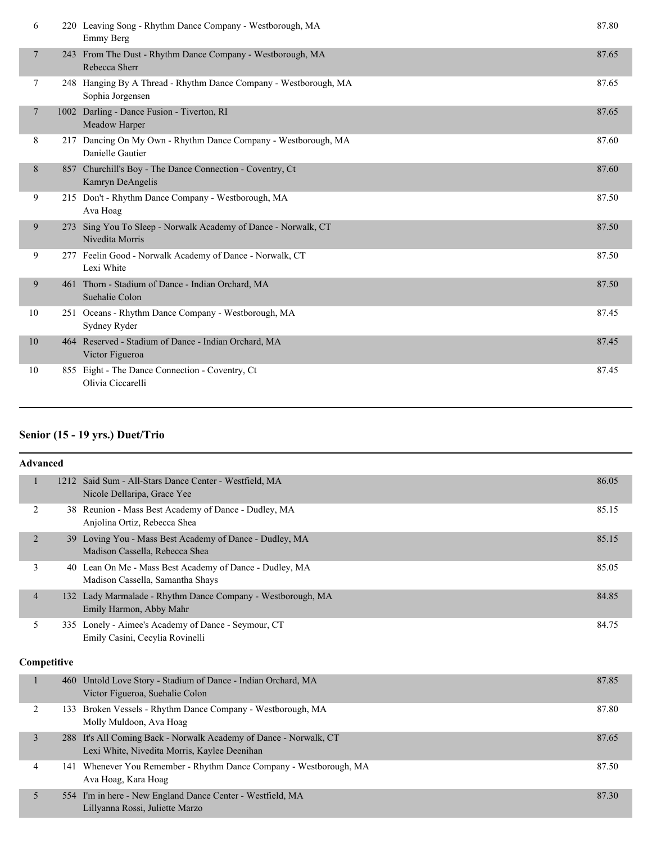| 6              | 220 Leaving Song - Rhythm Dance Company - Westborough, MA<br>Emmy Berg               | 87.80 |
|----------------|--------------------------------------------------------------------------------------|-------|
| 7              | 243 From The Dust - Rhythm Dance Company - Westborough, MA<br>Rebecca Sherr          | 87.65 |
| 7              | 248 Hanging By A Thread - Rhythm Dance Company - Westborough, MA<br>Sophia Jorgensen | 87.65 |
| $\overline{7}$ | 1002 Darling - Dance Fusion - Tiverton, RI<br>Meadow Harper                          | 87.65 |
| 8              | 217 Dancing On My Own - Rhythm Dance Company - Westborough, MA<br>Danielle Gautier   | 87.60 |
| 8              | 857 Churchill's Boy - The Dance Connection - Coventry, Ct<br>Kamryn DeAngelis        | 87.60 |
| 9              | 215 Don't - Rhythm Dance Company - Westborough, MA<br>Ava Hoag                       | 87.50 |
| 9              | 273 Sing You To Sleep - Norwalk Academy of Dance - Norwalk, CT<br>Nivedita Morris    | 87.50 |
| 9              | 277 Feelin Good - Norwalk Academy of Dance - Norwalk, CT<br>Lexi White               | 87.50 |
| 9              | 461 Thorn - Stadium of Dance - Indian Orchard, MA<br>Suehalie Colon                  | 87.50 |
| 10             | 251 Oceans - Rhythm Dance Company - Westborough, MA<br>Sydney Ryder                  | 87.45 |
| 10             | 464 Reserved - Stadium of Dance - Indian Orchard, MA<br>Victor Figueroa              | 87.45 |
| 10             | 855 Eight - The Dance Connection - Coventry, Ct<br>Olivia Ciccarelli                 | 87.45 |

#### **Senior (15 - 19 yrs.) Duet/Trio**

|                | <b>Advanced</b> |                                                                                                                   |       |
|----------------|-----------------|-------------------------------------------------------------------------------------------------------------------|-------|
|                | $\mathbf{1}$    | 1212 Said Sum - All-Stars Dance Center - Westfield, MA<br>Nicole Dellaripa, Grace Yee                             | 86.05 |
| $\overline{2}$ |                 | 38 Reunion - Mass Best Academy of Dance - Dudley, MA<br>Anjolina Ortiz, Rebecca Shea                              | 85.15 |
|                | 2               | 39 Loving You - Mass Best Academy of Dance - Dudley, MA<br>Madison Cassella, Rebecca Shea                         | 85.15 |
|                | 3               | 40 Lean On Me - Mass Best Academy of Dance - Dudley, MA<br>Madison Cassella, Samantha Shays                       | 85.05 |
|                | $\overline{4}$  | 132 Lady Marmalade - Rhythm Dance Company - Westborough, MA<br>Emily Harmon, Abby Mahr                            | 84.85 |
|                | 5               | 335 Lonely - Aimee's Academy of Dance - Seymour, CT<br>Emily Casini, Cecylia Rovinelli                            | 84.75 |
|                | Competitive     |                                                                                                                   |       |
| 1              |                 | 460 Untold Love Story - Stadium of Dance - Indian Orchard, MA<br>Victor Figueroa, Suehalie Colon                  | 87.85 |
|                | 2               | 133 Broken Vessels - Rhythm Dance Company - Westborough, MA<br>Molly Muldoon, Ava Hoag                            | 87.80 |
|                | 3               | 288 It's All Coming Back - Norwalk Academy of Dance - Norwalk, CT<br>Lexi White, Nivedita Morris, Kaylee Deenihan | 87.65 |
|                | $\overline{4}$  | 141 Whenever You Remember - Rhythm Dance Company - Westborough, MA<br>Ava Hoag, Kara Hoag                         | 87.50 |

| Ava Hoag, Kara Hoag                                        |       |
|------------------------------------------------------------|-------|
| 554 I'm in here - New England Dance Center - Westfield, MA | 87.30 |
| Lillyanna Rossi, Juliette Marzo                            |       |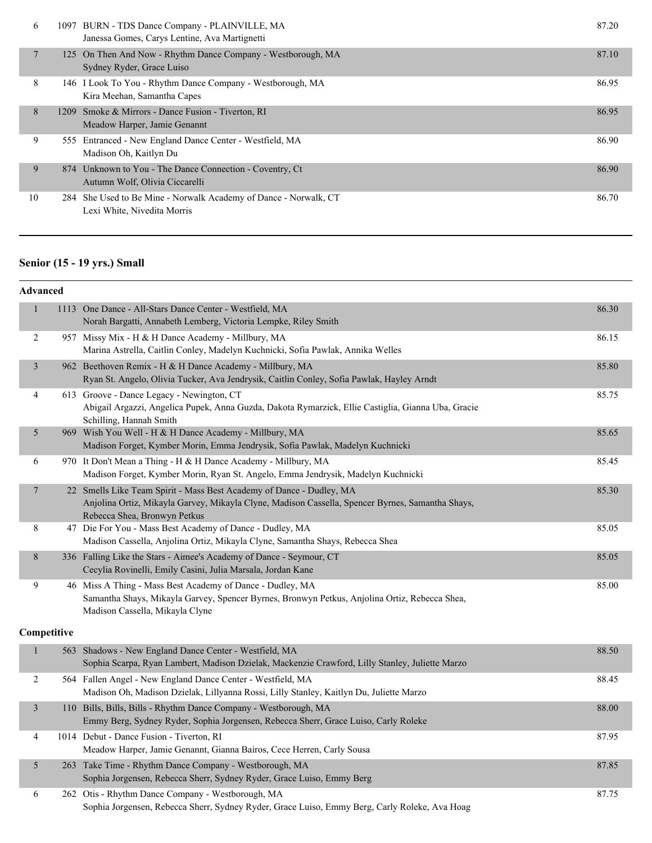| 6      | 1097 BURN - TDS Dance Company - PLAINVILLE, MA<br>Janessa Gomes, Carys Lentine, Ava Martignetti | 87.20 |
|--------|-------------------------------------------------------------------------------------------------|-------|
| $\tau$ | 125 On Then And Now - Rhythm Dance Company - Westborough, MA<br>Sydney Ryder, Grace Luiso       | 87.10 |
| 8      | 146 I Look To You - Rhythm Dance Company - Westborough, MA<br>Kira Meehan, Samantha Capes       | 86.95 |
| 8      | 1209 Smoke & Mirrors - Dance Fusion - Tiverton, RI<br>Meadow Harper, Jamie Genannt              | 86.95 |
| 9      | 555 Entranced - New England Dance Center - Westfield, MA<br>Madison Oh, Kaitlyn Du              | 86.90 |
| 9      | 874 Unknown to You - The Dance Connection - Coventry, Ct<br>Autumn Wolf, Olivia Ciccarelli      | 86.90 |
| 10     | 284 She Used to Be Mine - Norwalk Academy of Dance - Norwalk, CT<br>Lexi White, Nivedita Morris | 86.70 |

#### **Senior (15 - 19 yrs.) Small**

| $\mathbf{1}$   | 1113 One Dance - All-Stars Dance Center - Westfield, MA<br>Norah Bargatti, Annabeth Lemberg, Victoria Lempke, Riley Smith                                                                                | 86.30 |
|----------------|----------------------------------------------------------------------------------------------------------------------------------------------------------------------------------------------------------|-------|
| $\overline{2}$ | 957 Missy Mix - H & H Dance Academy - Millbury, MA<br>Marina Astrella, Caitlin Conley, Madelyn Kuchnicki, Sofia Pawlak, Annika Welles                                                                    | 86.15 |
| $\mathfrak{Z}$ | 962 Beethoven Remix - H & H Dance Academy - Millbury, MA<br>Ryan St. Angelo, Olivia Tucker, Ava Jendrysik, Caitlin Conley, Sofia Pawlak, Hayley Arndt                                                    | 85.80 |
| 4              | 613 Groove - Dance Legacy - Newington, CT<br>Abigail Argazzi, Angelica Pupek, Anna Guzda, Dakota Rymarzick, Ellie Castiglia, Gianna Uba, Gracie<br>Schilling, Hannah Smith                               | 85.75 |
| 5              | 969 Wish You Well - H & H Dance Academy - Millbury, MA<br>Madison Forget, Kymber Morin, Emma Jendrysik, Sofia Pawlak, Madelyn Kuchnicki                                                                  | 85.65 |
| 6              | 970 It Don't Mean a Thing - H & H Dance Academy - Millbury, MA<br>Madison Forget, Kymber Morin, Ryan St. Angelo, Emma Jendrysik, Madelyn Kuchnicki                                                       | 85.45 |
| $\overline{7}$ | 22 Smells Like Team Spirit - Mass Best Academy of Dance - Dudley, MA<br>Anjolina Ortiz, Mikayla Garvey, Mikayla Clyne, Madison Cassella, Spencer Byrnes, Samantha Shays,<br>Rebecca Shea, Bronwyn Petkus | 85.30 |
| 8              | 47 Die For You - Mass Best Academy of Dance - Dudley, MA<br>Madison Cassella, Anjolina Ortiz, Mikayla Clyne, Samantha Shays, Rebecca Shea                                                                | 85.05 |
| 8              | 336 Falling Like the Stars - Aimee's Academy of Dance - Seymour, CT<br>Cecylia Rovinelli, Emily Casini, Julia Marsala, Jordan Kane                                                                       | 85.05 |
| 9              | 46 Miss A Thing - Mass Best Academy of Dance - Dudley, MA<br>Samantha Shays, Mikayla Garvey, Spencer Byrnes, Bronwyn Petkus, Anjolina Ortiz, Rebecca Shea,<br>Madison Cassella, Mikayla Clyne            | 85.00 |
| Competitive    |                                                                                                                                                                                                          |       |
| $\mathbf{1}$   | 563 Shadows - New England Dance Center - Westfield, MA<br>Sophia Scarpa, Ryan Lambert, Madison Dzielak, Mackenzie Crawford, Lilly Stanley, Juliette Marzo                                                | 88.50 |
| $\overline{c}$ | 564 Fallen Angel - New England Dance Center - Westfield, MA<br>Madison Oh, Madison Dzielak, Lillyanna Rossi, Lilly Stanley, Kaitlyn Du, Juliette Marzo                                                   | 88.45 |
| $\mathfrak{Z}$ | 110 Bills, Bills, Bills - Rhythm Dance Company - Westborough, MA<br>Emmy Berg, Sydney Ryder, Sophia Jorgensen, Rebecca Sherr, Grace Luiso, Carly Roleke                                                  | 88.00 |
| 4              | 1014 Debut - Dance Fusion - Tiverton, RI<br>Meadow Harper, Jamie Genannt, Gianna Bairos, Cece Herren, Carly Sousa                                                                                        | 87.95 |
| 5              | 263 Take Time - Rhythm Dance Company - Westborough, MA<br>Sophia Jorgensen, Rebecca Sherr, Sydney Ryder, Grace Luiso, Emmy Berg                                                                          | 87.85 |
| 6              | 262 Otis - Rhythm Dance Company - Westborough, MA<br>Sophia Jorgensen, Rebecca Sherr, Sydney Ryder, Grace Luiso, Emmy Berg, Carly Roleke, Ava Hoag                                                       | 87.75 |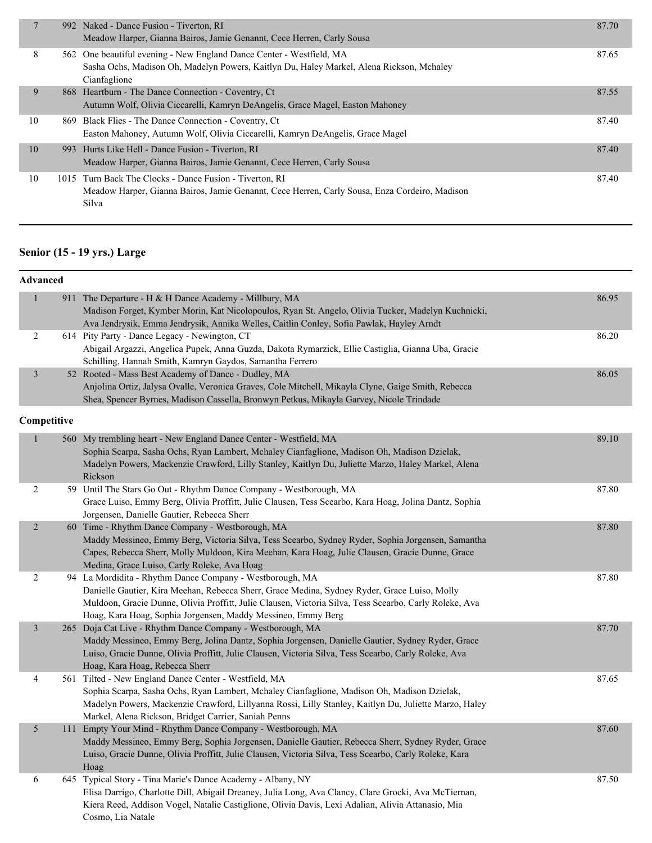|    |      | 992 Naked - Dance Fusion - Tiverton, RI<br>Meadow Harper, Gianna Bairos, Jamie Genannt, Cece Herren, Carly Sousa                                                                 | 87.70 |
|----|------|----------------------------------------------------------------------------------------------------------------------------------------------------------------------------------|-------|
| 8  |      | 562 One beautiful evening - New England Dance Center - Westfield, MA<br>Sasha Ochs, Madison Oh, Madelyn Powers, Kaitlyn Du, Haley Markel, Alena Rickson, Mchaley<br>Cianfaglione | 87.65 |
| 9  |      | 868 Heartburn - The Dance Connection - Coventry, Ct<br>Autumn Wolf, Olivia Ciccarelli, Kamryn DeAngelis, Grace Magel, Easton Mahoney                                             | 87.55 |
| 10 | 869. | Black Flies - The Dance Connection - Coventry, Ct<br>Easton Mahoney, Autumn Wolf, Olivia Ciccarelli, Kamryn DeAngelis, Grace Magel                                               | 87.40 |
| 10 |      | 993 Hurts Like Hell - Dance Fusion - Tiverton, RI<br>Meadow Harper, Gianna Bairos, Jamie Genannt, Cece Herren, Carly Sousa                                                       | 87.40 |
| 10 |      | 1015 Turn Back The Clocks - Dance Fusion - Tiverton, RI<br>Meadow Harper, Gianna Bairos, Jamie Genannt, Cece Herren, Carly Sousa, Enza Cordeiro, Madison<br>Silva                | 87.40 |

#### **Senior (15 - 19 yrs.) Large**

| Advanced       |                                                                                                                                                                                                                                                                                                                                    |       |
|----------------|------------------------------------------------------------------------------------------------------------------------------------------------------------------------------------------------------------------------------------------------------------------------------------------------------------------------------------|-------|
| $\mathbf{1}$   | 911 The Departure - H & H Dance Academy - Millbury, MA<br>Madison Forget, Kymber Morin, Kat Nicolopoulos, Ryan St. Angelo, Olivia Tucker, Madelyn Kuchnicki,<br>Ava Jendrysik, Emma Jendrysik, Annika Welles, Caitlin Conley, Sofia Pawlak, Hayley Arndt                                                                           | 86.95 |
| 2              | 614 Pity Party - Dance Legacy - Newington, CT<br>Abigail Argazzi, Angelica Pupek, Anna Guzda, Dakota Rymarzick, Ellie Castiglia, Gianna Uba, Gracie<br>Schilling, Hannah Smith, Kamryn Gaydos, Samantha Ferrero                                                                                                                    | 86.20 |
| 3              | 52 Rooted - Mass Best Academy of Dance - Dudley, MA<br>Anjolina Ortiz, Jalysa Ovalle, Veronica Graves, Cole Mitchell, Mikayla Clyne, Gaige Smith, Rebecca<br>Shea, Spencer Byrnes, Madison Cassella, Bronwyn Petkus, Mikayla Garvey, Nicole Trindade                                                                               | 86.05 |
| Competitive    |                                                                                                                                                                                                                                                                                                                                    |       |
| $\mathbf{1}$   | 560 My trembling heart - New England Dance Center - Westfield, MA<br>Sophia Scarpa, Sasha Ochs, Ryan Lambert, Mchaley Cianfaglione, Madison Oh, Madison Dzielak,<br>Madelyn Powers, Mackenzie Crawford, Lilly Stanley, Kaitlyn Du, Juliette Marzo, Haley Markel, Alena<br>Rickson                                                  | 89.10 |
| $\overline{2}$ | 59 Until The Stars Go Out - Rhythm Dance Company - Westborough, MA<br>Grace Luiso, Emmy Berg, Olivia Proffitt, Julie Clausen, Tess Scearbo, Kara Hoag, Jolina Dantz, Sophia<br>Jorgensen, Danielle Gautier, Rebecca Sherr                                                                                                          | 87.80 |
| $\overline{2}$ | 60 Time - Rhythm Dance Company - Westborough, MA<br>Maddy Messineo, Emmy Berg, Victoria Silva, Tess Scearbo, Sydney Ryder, Sophia Jorgensen, Samantha<br>Capes, Rebecca Sherr, Molly Muldoon, Kira Meehan, Kara Hoag, Julie Clausen, Gracie Dunne, Grace<br>Medina, Grace Luiso, Carly Roleke, Ava Hoag                            | 87.80 |
| $\overline{2}$ | 94 La Mordidita - Rhythm Dance Company - Westborough, MA<br>Danielle Gautier, Kira Meehan, Rebecca Sherr, Grace Medina, Sydney Ryder, Grace Luiso, Molly<br>Muldoon, Gracie Dunne, Olivia Proffitt, Julie Clausen, Victoria Silva, Tess Scearbo, Carly Roleke, Ava<br>Hoag, Kara Hoag, Sophia Jorgensen, Maddy Messineo, Emmy Berg | 87.80 |
| $\mathfrak{Z}$ | 265 Doja Cat Live - Rhythm Dance Company - Westborough, MA<br>Maddy Messineo, Emmy Berg, Jolina Dantz, Sophia Jorgensen, Danielle Gautier, Sydney Ryder, Grace<br>Luiso, Gracie Dunne, Olivia Proffitt, Julie Clausen, Victoria Silva, Tess Scearbo, Carly Roleke, Ava<br>Hoag, Kara Hoag, Rebecca Sherr                           | 87.70 |
| 4              | 561 Tilted - New England Dance Center - Westfield, MA<br>Sophia Scarpa, Sasha Ochs, Ryan Lambert, Mchaley Cianfaglione, Madison Oh, Madison Dzielak,<br>Madelyn Powers, Mackenzie Crawford, Lillyanna Rossi, Lilly Stanley, Kaitlyn Du, Juliette Marzo, Haley<br>Markel, Alena Rickson, Bridget Carrier, Saniah Penns              | 87.65 |
| 5              | 111 Empty Your Mind - Rhythm Dance Company - Westborough, MA<br>Maddy Messineo, Emmy Berg, Sophia Jorgensen, Danielle Gautier, Rebecca Sherr, Sydney Ryder, Grace<br>Luiso, Gracie Dunne, Olivia Proffitt, Julie Clausen, Victoria Silva, Tess Scearbo, Carly Roleke, Kara<br>Hoag                                                 | 87.60 |
| 6              | 645 Typical Story - Tina Marie's Dance Academy - Albany, NY<br>Elisa Darrigo, Charlotte Dill, Abigail Dreaney, Julia Long, Ava Clancy, Clare Grocki, Ava McTiernan,<br>Kiera Reed, Addison Vogel, Natalie Castiglione, Olivia Davis, Lexi Adalian, Alivia Attanasio, Mia<br>Cosmo, Lia Natale                                      | 87.50 |